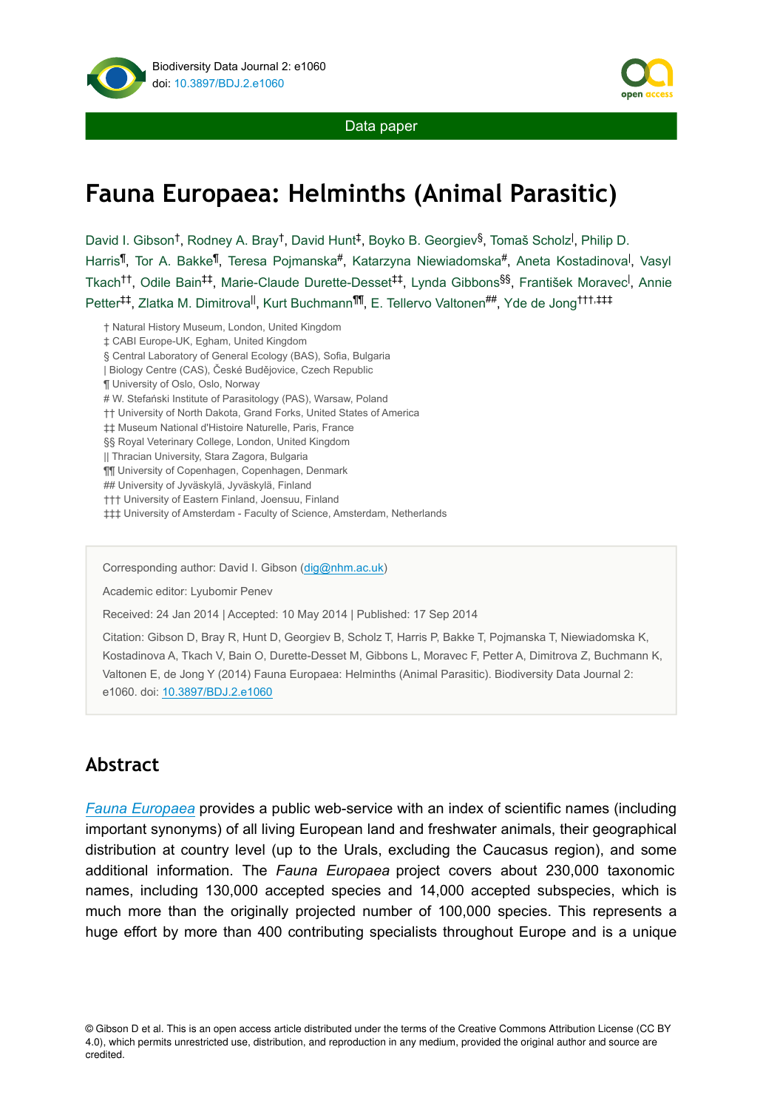

Data paper

# **Fauna Europaea: Helminths (Animal Parasitic)**

David I. Gibson<sup>t</sup>, Rodney A. Bray<sup>t</sup>, David Hunt<sup>‡</sup>, Boyko B. Georgiev<sup>§</sup>, Tomaš Scholz<sup>i</sup>, Philip D. Harris<sup>¶</sup>, Tor A. Bakke<sup>¶</sup>, Teresa Pojmanska#, Katarzyna Niewiadomska#, Aneta Kostadinova<sup>l</sup>, Vasyl Tkach<sup>tt</sup>, Odile Bain<sup>‡‡</sup>, Marie-Claude Durette-Desset<sup>‡‡</sup>, Lynda Gibbons<sup>§§</sup>, František Moravec<sup>l</sup>, Annie Petter<sup>‡‡</sup>, Zlatka M. Dimitrova<sup>ll</sup>, Kurt Buchmann<sup>¶¶</sup>, E. Tellervo Valtonen<sup>##</sup>, Yde de Jong<sup>†††,‡‡‡</sup>

- † Natural History Museum, London, United Kingdom
- ‡ CABI Europe-UK, Egham, United Kingdom
- § Central Laboratory of General Ecology (BAS), Sofia, Bulgaria
- | Biology Centre (CAS), České Budějovice, Czech Republic
- ¶ University of Oslo, Oslo, Norway
- # W. Stefański Institute of Parasitology (PAS), Warsaw, Poland
- †† University of North Dakota, Grand Forks, United States of America
- ‡‡ Museum National d'Histoire Naturelle, Paris, France
- §§ Royal Veterinary College, London, United Kingdom
- || Thracian University, Stara Zagora, Bulgaria
- ¶¶ University of Copenhagen, Copenhagen, Denmark
- ## University of Jyväskylä, Jyväskylä, Finland
- ††† University of Eastern Finland, Joensuu, Finland
- ‡‡‡ University of Amsterdam Faculty of Science, Amsterdam, Netherlands

Corresponding author: David I. Gibson ([dig@nhm.ac.uk](mailto:dig@nhm.ac.uk))

Academic editor: Lyubomir Penev

Received: 24 Jan 2014 | Accepted: 10 May 2014 | Published: 17 Sep 2014

Citation: Gibson D, Bray R, Hunt D, Georgiev B, Scholz T, Harris P, Bakke T, Pojmanska T, Niewiadomska K, Kostadinova A, Tkach V, Bain O, Durette-Desset M, Gibbons L, Moravec F, Petter A, Dimitrova Z, Buchmann K, Valtonen E, de Jong Y (2014) Fauna Europaea: Helminths (Animal Parasitic). Biodiversity Data Journal 2: e1060. doi: [10.3897/BDJ.2.e1060](http://dx.doi.org/10.3897/BDJ.2.e1060)

#### **Abstract**

*[Fauna Europaea](http://www.faunaeur.org/)* provides a public web-service with an index of scientific names (including important synonyms) of all living European land and freshwater animals, their geographical distribution at country level (up to the Urals, excluding the Caucasus region), and some additional information. The *Fauna Europaea* project covers about 230,000 taxonomic names, including 130,000 accepted species and 14,000 accepted subspecies, which is much more than the originally projected number of 100,000 species. This represents a huge effort by more than 400 contributing specialists throughout Europe and is a unique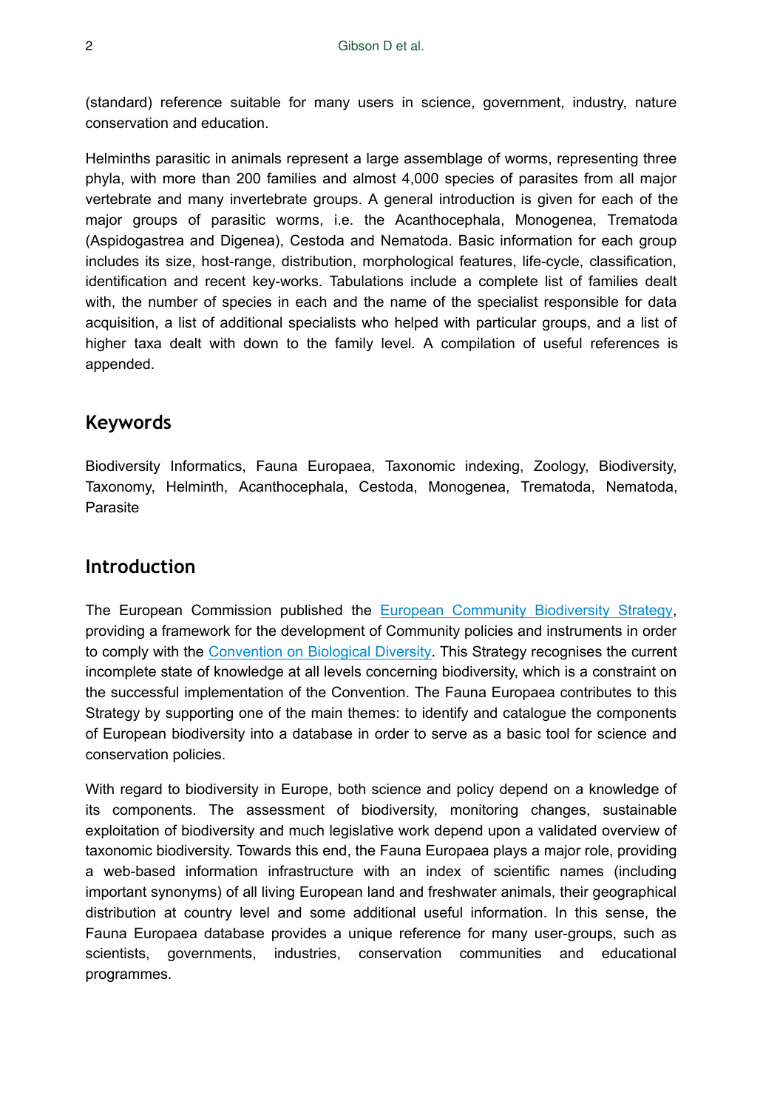(standard) reference suitable for many users in science, government, industry, nature conservation and education.

Helminths parasitic in animals represent a large assemblage of worms, representing three phyla, with more than 200 families and almost 4,000 species of parasites from all major vertebrate and many invertebrate groups. A general introduction is given for each of the major groups of parasitic worms, i.e. the Acanthocephala, Monogenea, Trematoda (Aspidogastrea and Digenea), Cestoda and Nematoda. Basic information for each group includes its size, host-range, distribution, morphological features, life-cycle, classification, identification and recent key-works. Tabulations include a complete list of families dealt with, the number of species in each and the name of the specialist responsible for data acquisition, a list of additional specialists who helped with particular groups, and a list of higher taxa dealt with down to the family level. A compilation of useful references is appended.

#### **Keywords**

Biodiversity Informatics, Fauna Europaea, Taxonomic indexing, Zoology, Biodiversity, Taxonomy, Helminth, Acanthocephala, Cestoda, Monogenea, Trematoda, Nematoda, Parasite

#### **Introduction**

The European Commission published the [European Community Biodiversity Strategy,](http://www.faunaeur.org/documents/ComBioDivStrat.pdf) providing a framework for the development of Community policies and instruments in order to comply with the [Convention on Biological Diversity.](http://www.biodiv.org/) This Strategy recognises the current incomplete state of knowledge at all levels concerning biodiversity, which is a constraint on the successful implementation of the Convention. The Fauna Europaea contributes to this Strategy by supporting one of the main themes: to identify and catalogue the components of European biodiversity into a database in order to serve as a basic tool for science and conservation policies.

With regard to biodiversity in Europe, both science and policy depend on a knowledge of its components. The assessment of biodiversity, monitoring changes, sustainable exploitation of biodiversity and much legislative work depend upon a validated overview of taxonomic biodiversity. Towards this end, the Fauna Europaea plays a major role, providing a web-based information infrastructure with an index of scientific names (including important synonyms) of all living European land and freshwater animals, their geographical distribution at country level and some additional useful information. In this sense, the Fauna Europaea database provides a unique reference for many user-groups, such as scientists, governments, industries, conservation communities and educational programmes.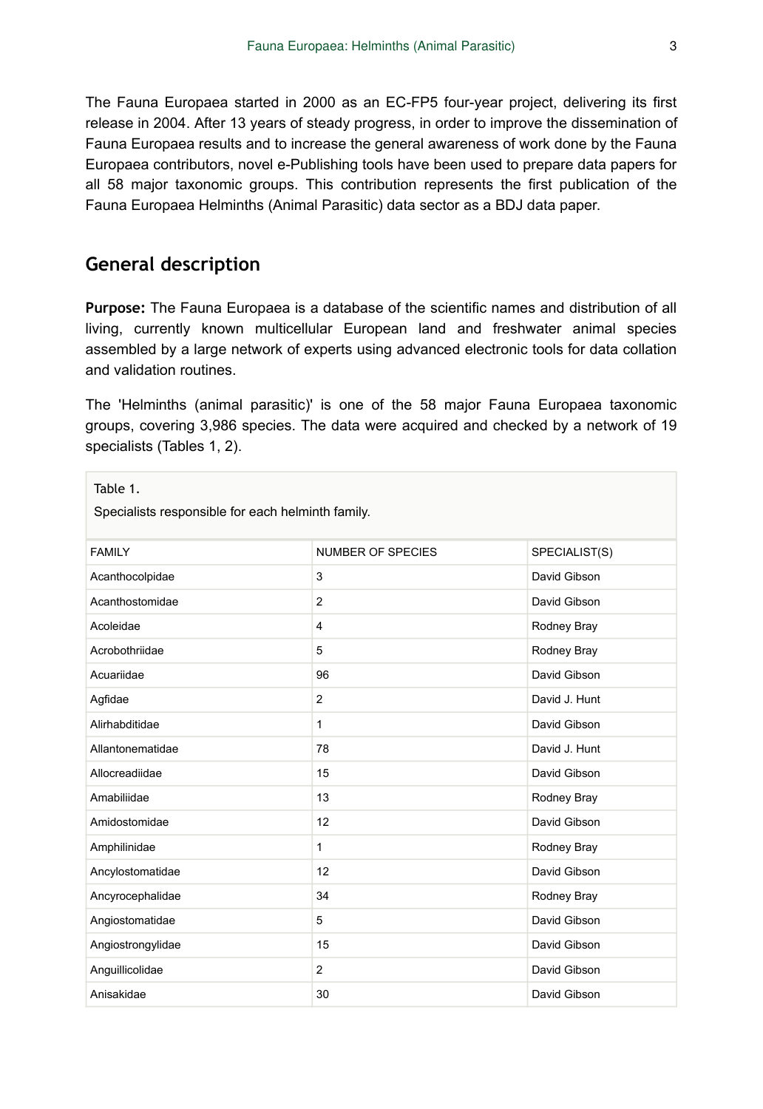The Fauna Europaea started in 2000 as an EC-FP5 four-year project, delivering its first release in 2004. After 13 years of steady progress, in order to improve the dissemination of Fauna Europaea results and to increase the general awareness of work done by the Fauna Europaea contributors, novel e-Publishing tools have been used to prepare data papers for all 58 major taxonomic groups. This contribution represents the first publication of the Fauna Europaea Helminths (Animal Parasitic) data sector as a BDJ data paper.

# **General description**

**Purpose:** The Fauna Europaea is a database of the scientific names and distribution of all living, currently known multicellular European land and freshwater animal species assembled by a large network of experts using advanced electronic tools for data collation and validation routines.

The 'Helminths (animal parasitic)' is one of the 58 major Fauna Europaea taxonomic groups, covering 3,986 species. The data were acquired and checked by a network of 19 specialists (Tables 1, 2).

| Table 1.<br>Specialists responsible for each helminth family. |                          |               |
|---------------------------------------------------------------|--------------------------|---------------|
| <b>FAMILY</b>                                                 | <b>NUMBER OF SPECIES</b> | SPECIALIST(S) |
| Acanthocolpidae                                               | 3                        | David Gibson  |
| Acanthostomidae                                               | $\overline{2}$           | David Gibson  |
| Acoleidae                                                     | 4                        | Rodney Bray   |
| Acrobothriidae                                                | 5                        | Rodney Bray   |
| Acuariidae                                                    | 96                       | David Gibson  |
| Agfidae                                                       | $\overline{2}$           | David J. Hunt |
| Alirhabditidae                                                | $\mathbf{1}$             | David Gibson  |
| Allantonematidae                                              | 78                       | David J. Hunt |
| Allocreadiidae                                                | 15                       | David Gibson  |
| Amabiliidae                                                   | 13                       | Rodney Bray   |
| Amidostomidae                                                 | 12                       | David Gibson  |
| Amphilinidae                                                  | 1                        | Rodney Bray   |
| Ancylostomatidae                                              | 12                       | David Gibson  |
| Ancyrocephalidae                                              | 34                       | Rodney Bray   |
| Angiostomatidae                                               | 5                        | David Gibson  |
| Angiostrongylidae                                             | 15                       | David Gibson  |
| Anguillicolidae                                               | $\overline{2}$           | David Gibson  |
| Anisakidae                                                    | 30                       | David Gibson  |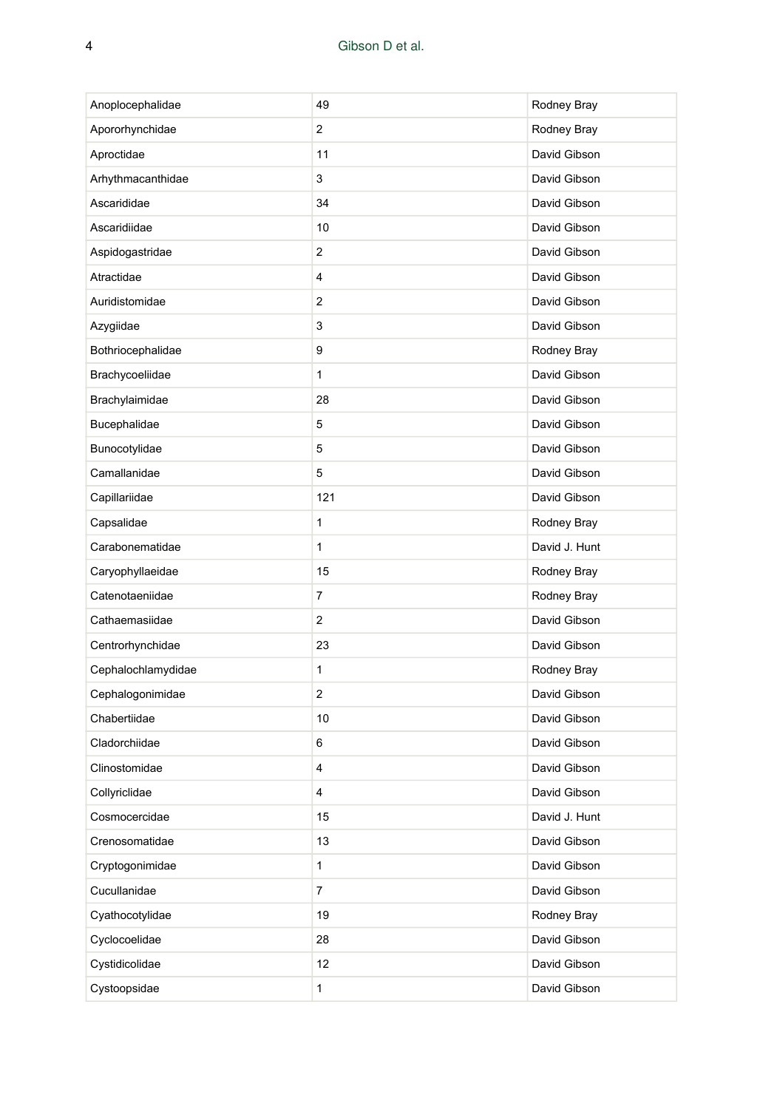| Anoplocephalidae   | 49                      | Rodney Bray   |
|--------------------|-------------------------|---------------|
| Apororhynchidae    | 2                       | Rodney Bray   |
| Aproctidae         | 11                      | David Gibson  |
| Arhythmacanthidae  | 3                       | David Gibson  |
| Ascarididae        | 34                      | David Gibson  |
| Ascaridiidae       | 10                      | David Gibson  |
| Aspidogastridae    | $\overline{\mathbf{c}}$ | David Gibson  |
| Atractidae         | 4                       | David Gibson  |
| Auridistomidae     | 2                       | David Gibson  |
| Azygiidae          | 3                       | David Gibson  |
| Bothriocephalidae  | 9                       | Rodney Bray   |
| Brachycoeliidae    | 1                       | David Gibson  |
| Brachylaimidae     | 28                      | David Gibson  |
| Bucephalidae       | 5                       | David Gibson  |
| Bunocotylidae      | 5                       | David Gibson  |
| Camallanidae       | 5                       | David Gibson  |
| Capillariidae      | 121                     | David Gibson  |
| Capsalidae         | 1                       | Rodney Bray   |
| Carabonematidae    | $\mathbf{1}$            | David J. Hunt |
| Caryophyllaeidae   | 15                      | Rodney Bray   |
| Catenotaeniidae    | 7                       | Rodney Bray   |
| Cathaemasiidae     | 2                       | David Gibson  |
| Centrorhynchidae   | 23                      | David Gibson  |
| Cephalochlamydidae | 1                       | Rodney Bray   |
| Cephalogonimidae   | 2                       | David Gibson  |
| Chabertiidae       | 10                      | David Gibson  |
| Cladorchiidae      | 6                       | David Gibson  |
| Clinostomidae      | 4                       | David Gibson  |
| Collyriclidae      | 4                       | David Gibson  |
| Cosmocercidae      | 15                      | David J. Hunt |
| Crenosomatidae     | 13                      | David Gibson  |
| Cryptogonimidae    | 1                       | David Gibson  |
| Cucullanidae       | 7                       | David Gibson  |
| Cyathocotylidae    | 19                      | Rodney Bray   |
| Cyclocoelidae      | 28                      | David Gibson  |
| Cystidicolidae     | 12                      | David Gibson  |
| Cystoopsidae       | 1                       | David Gibson  |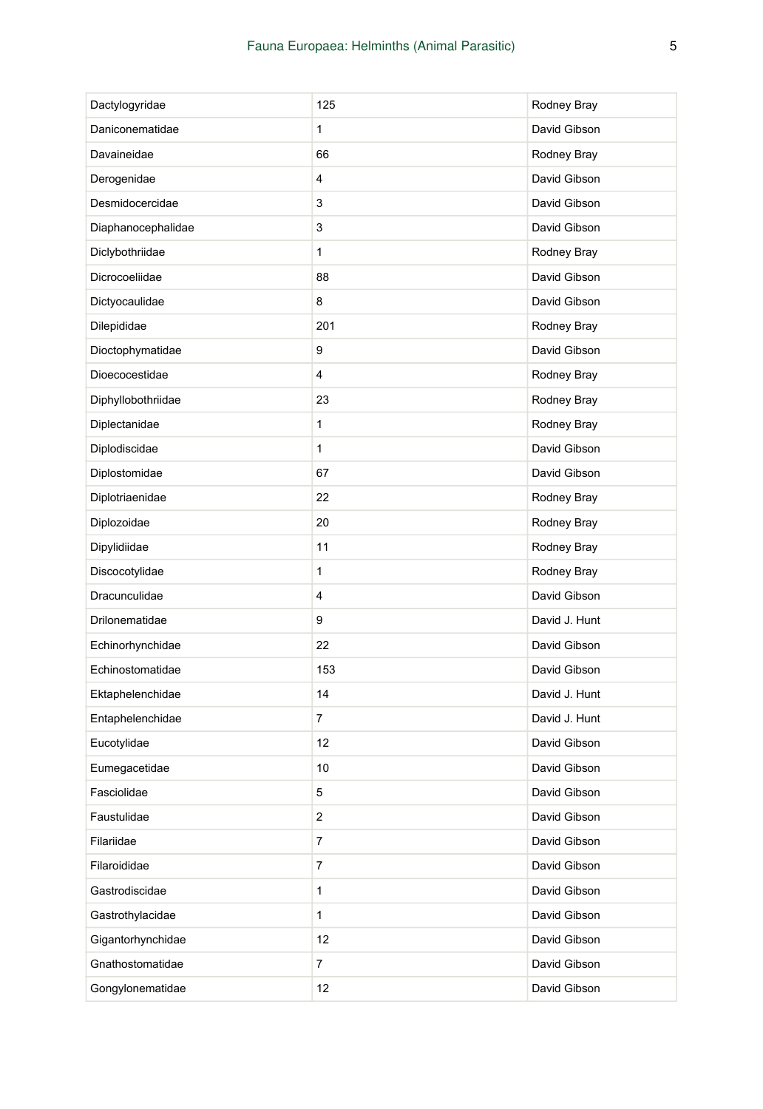| Dactylogyridae     | 125            | Rodney Bray   |
|--------------------|----------------|---------------|
| Daniconematidae    | 1              | David Gibson  |
| Davaineidae        | 66             | Rodney Bray   |
| Derogenidae        | 4              | David Gibson  |
| Desmidocercidae    | 3              | David Gibson  |
| Diaphanocephalidae | 3              | David Gibson  |
| Diclybothriidae    | 1              | Rodney Bray   |
| Dicrocoeliidae     | 88             | David Gibson  |
| Dictyocaulidae     | 8              | David Gibson  |
| Dilepididae        | 201            | Rodney Bray   |
| Dioctophymatidae   | 9              | David Gibson  |
| Dioecocestidae     | 4              | Rodney Bray   |
| Diphyllobothriidae | 23             | Rodney Bray   |
| Diplectanidae      | 1              | Rodney Bray   |
| Diplodiscidae      | 1              | David Gibson  |
| Diplostomidae      | 67             | David Gibson  |
| Diplotriaenidae    | 22             | Rodney Bray   |
| Diplozoidae        | 20             | Rodney Bray   |
| Dipylidiidae       | 11             | Rodney Bray   |
| Discocotylidae     | 1              | Rodney Bray   |
| Dracunculidae      | 4              | David Gibson  |
| Drilonematidae     | 9              | David J. Hunt |
| Echinorhynchidae   | 22             | David Gibson  |
| Echinostomatidae   | 153            | David Gibson  |
| Ektaphelenchidae   | 14             | David J. Hunt |
| Entaphelenchidae   | 7              | David J. Hunt |
| Eucotylidae        | 12             | David Gibson  |
| Eumegacetidae      | 10             | David Gibson  |
| Fasciolidae        | 5              | David Gibson  |
| Faustulidae        | 2              | David Gibson  |
| Filariidae         | 7              | David Gibson  |
| Filaroididae       | $\overline{7}$ | David Gibson  |
| Gastrodiscidae     | 1              | David Gibson  |
| Gastrothylacidae   | 1              | David Gibson  |
| Gigantorhynchidae  | 12             | David Gibson  |
| Gnathostomatidae   | 7              | David Gibson  |
| Gongylonematidae   | 12             | David Gibson  |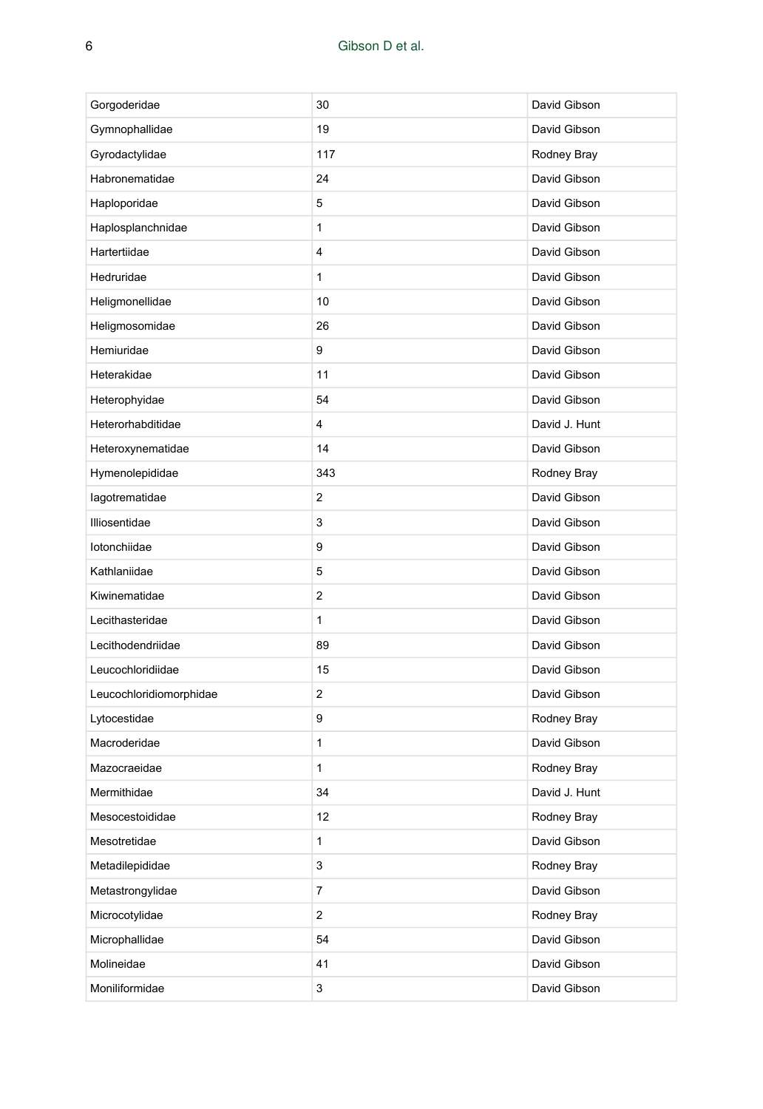| Gorgoderidae            | 30             | David Gibson  |
|-------------------------|----------------|---------------|
| Gymnophallidae          | 19             | David Gibson  |
| Gyrodactylidae          | 117            | Rodney Bray   |
| Habronematidae          | 24             | David Gibson  |
| Haploporidae            | 5              | David Gibson  |
| Haplosplanchnidae       | 1              | David Gibson  |
| Hartertiidae            | 4              | David Gibson  |
| Hedruridae              | 1              | David Gibson  |
| Heligmonellidae         | 10             | David Gibson  |
| Heligmosomidae          | 26             | David Gibson  |
| Hemiuridae              | 9              | David Gibson  |
| Heterakidae             | 11             | David Gibson  |
| Heterophyidae           | 54             | David Gibson  |
| Heterorhabditidae       | 4              | David J. Hunt |
| Heteroxynematidae       | 14             | David Gibson  |
| Hymenolepididae         | 343            | Rodney Bray   |
| lagotrematidae          | $\overline{2}$ | David Gibson  |
| Illiosentidae           | 3              | David Gibson  |
| lotonchiidae            | 9              | David Gibson  |
| Kathlaniidae            | 5              | David Gibson  |
| Kiwinematidae           | $\overline{2}$ | David Gibson  |
| Lecithasteridae         | 1              | David Gibson  |
| Lecithodendriidae       | 89             | David Gibson  |
| Leucochloridiidae       | 15             | David Gibson  |
| Leucochloridiomorphidae | 2              | David Gibson  |
| Lytocestidae            | 9              | Rodney Bray   |
| Macroderidae            | 1              | David Gibson  |
| Mazocraeidae            | $\mathbf{1}$   | Rodney Bray   |
| Mermithidae             | 34             | David J. Hunt |
| Mesocestoididae         | 12             | Rodney Bray   |
| Mesotretidae            | 1              | David Gibson  |
| Metadilepididae         | 3              | Rodney Bray   |
| Metastrongylidae        | 7              | David Gibson  |
| Microcotylidae          | 2              | Rodney Bray   |
| Microphallidae          | 54             | David Gibson  |
| Molineidae              | 41             | David Gibson  |
| Moniliformidae          | 3              | David Gibson  |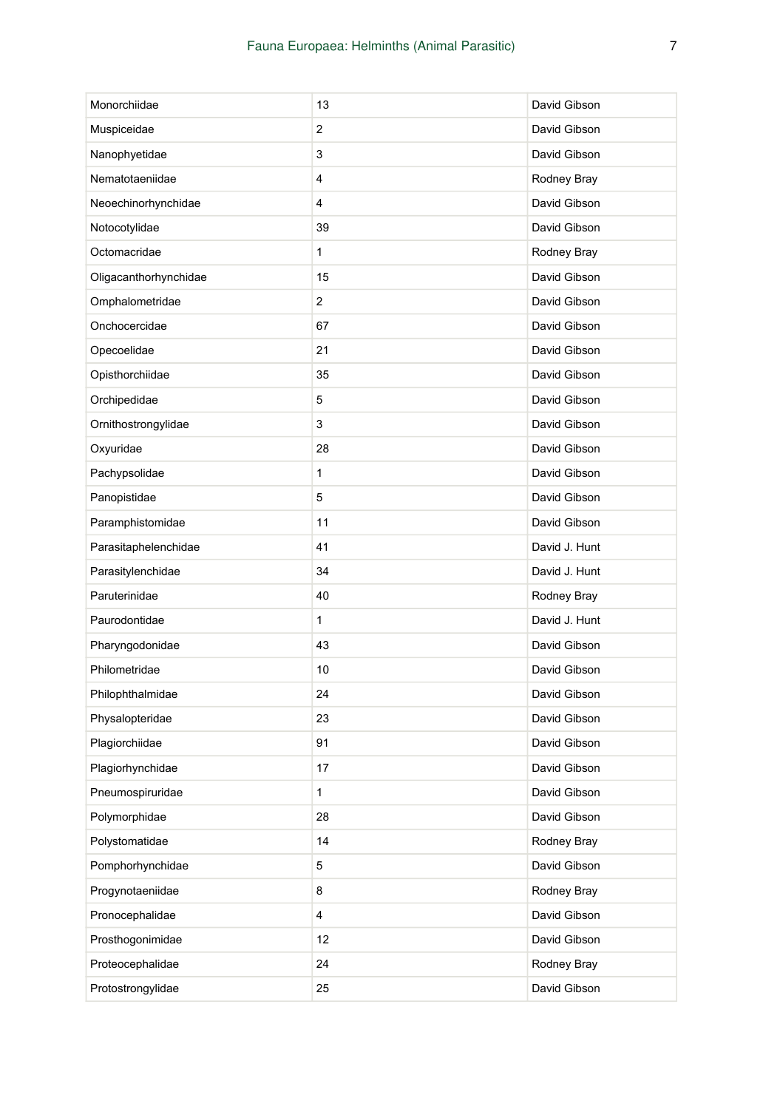| Monorchiidae          | 13 | David Gibson  |
|-----------------------|----|---------------|
| Muspiceidae           | 2  | David Gibson  |
| Nanophyetidae         | 3  | David Gibson  |
| Nematotaeniidae       | 4  | Rodney Bray   |
| Neoechinorhynchidae   | 4  | David Gibson  |
| Notocotylidae         | 39 | David Gibson  |
| Octomacridae          | 1  | Rodney Bray   |
| Oligacanthorhynchidae | 15 | David Gibson  |
| Omphalometridae       | 2  | David Gibson  |
| Onchocercidae         | 67 | David Gibson  |
| Opecoelidae           | 21 | David Gibson  |
| Opisthorchiidae       | 35 | David Gibson  |
| Orchipedidae          | 5  | David Gibson  |
| Ornithostrongylidae   | 3  | David Gibson  |
| Oxyuridae             | 28 | David Gibson  |
| Pachypsolidae         | 1  | David Gibson  |
| Panopistidae          | 5  | David Gibson  |
| Paramphistomidae      | 11 | David Gibson  |
| Parasitaphelenchidae  | 41 | David J. Hunt |
| Parasitylenchidae     | 34 | David J. Hunt |
| Paruterinidae         | 40 | Rodney Bray   |
| Paurodontidae         | 1  | David J. Hunt |
| Pharyngodonidae       | 43 | David Gibson  |
| Philometridae         | 10 | David Gibson  |
| Philophthalmidae      | 24 | David Gibson  |
| Physalopteridae       | 23 | David Gibson  |
| Plagiorchiidae        | 91 | David Gibson  |
| Plagiorhynchidae      | 17 | David Gibson  |
| Pneumospiruridae      | 1  | David Gibson  |
| Polymorphidae         | 28 | David Gibson  |
| Polystomatidae        | 14 | Rodney Bray   |
| Pomphorhynchidae      | 5  | David Gibson  |
| Progynotaeniidae      | 8  | Rodney Bray   |
| Pronocephalidae       | 4  | David Gibson  |
| Prosthogonimidae      | 12 | David Gibson  |
| Proteocephalidae      | 24 | Rodney Bray   |
| Protostrongylidae     | 25 | David Gibson  |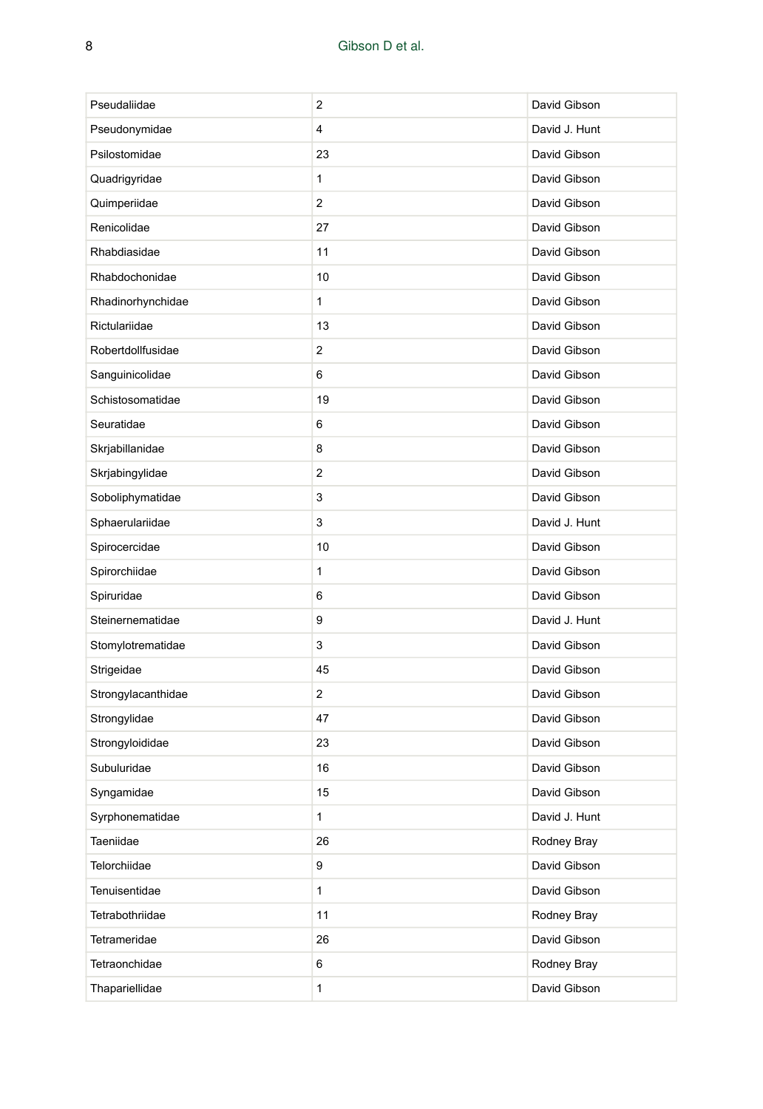| Pseudaliidae       | 2            | David Gibson  |
|--------------------|--------------|---------------|
| Pseudonymidae      | 4            | David J. Hunt |
| Psilostomidae      | 23           | David Gibson  |
| Quadrigyridae      | 1            | David Gibson  |
| Quimperiidae       | 2            | David Gibson  |
| Renicolidae        | 27           | David Gibson  |
| Rhabdiasidae       | 11           | David Gibson  |
| Rhabdochonidae     | 10           | David Gibson  |
| Rhadinorhynchidae  | $\mathbf{1}$ | David Gibson  |
| Rictulariidae      | 13           | David Gibson  |
| Robertdollfusidae  | 2            | David Gibson  |
| Sanguinicolidae    | 6            | David Gibson  |
| Schistosomatidae   | 19           | David Gibson  |
| Seuratidae         | 6            | David Gibson  |
| Skrjabillanidae    | 8            | David Gibson  |
| Skrjabingylidae    | 2            | David Gibson  |
| Soboliphymatidae   | 3            | David Gibson  |
| Sphaerulariidae    | 3            | David J. Hunt |
| Spirocercidae      | 10           | David Gibson  |
| Spirorchiidae      | 1            | David Gibson  |
| Spiruridae         | 6            | David Gibson  |
| Steinernematidae   | 9            | David J. Hunt |
| Stomylotrematidae  | 3            | David Gibson  |
| Strigeidae         | 45           | David Gibson  |
| Strongylacanthidae | 2            | David Gibson  |
| Strongylidae       | 47           | David Gibson  |
| Strongyloididae    | 23           | David Gibson  |
| Subuluridae        | 16           | David Gibson  |
| Syngamidae         | 15           | David Gibson  |
| Syrphonematidae    | 1            | David J. Hunt |
| Taeniidae          | 26           | Rodney Bray   |
| Telorchiidae       | 9            | David Gibson  |
| Tenuisentidae      | $\mathbf{1}$ | David Gibson  |
| Tetrabothriidae    | 11           | Rodney Bray   |
| Tetrameridae       | 26           | David Gibson  |
| Tetraonchidae      | 6            | Rodney Bray   |
| Thapariellidae     | $\mathbf{1}$ | David Gibson  |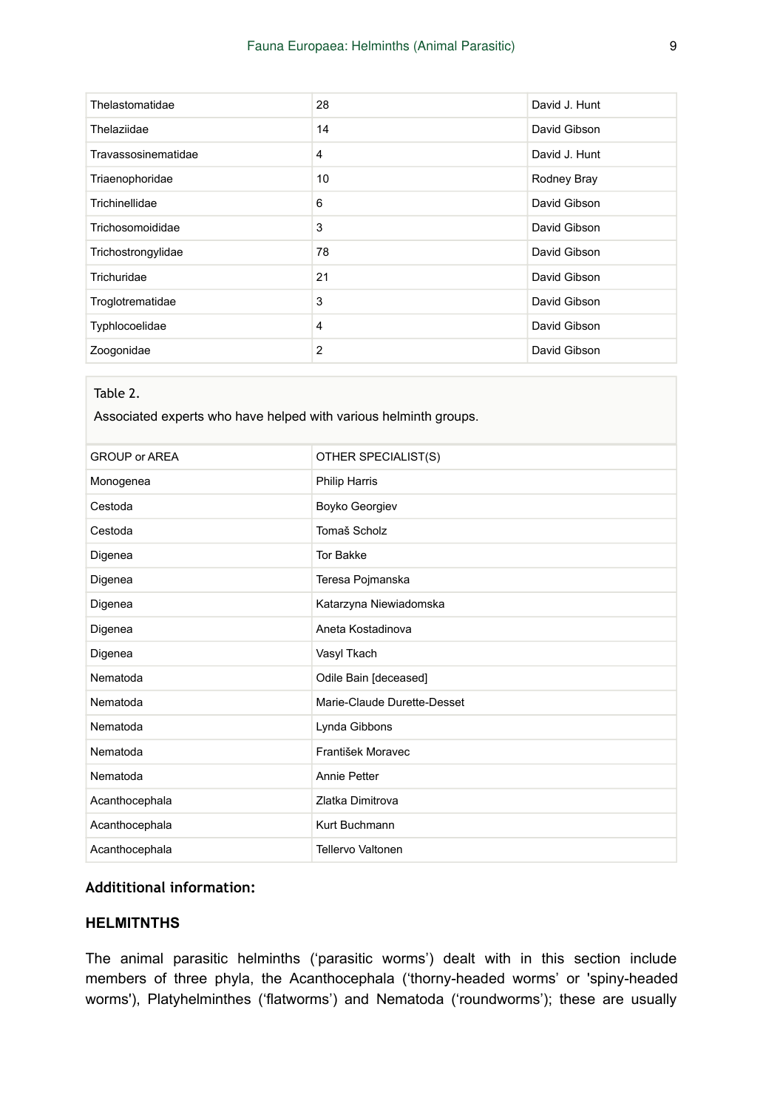| Thelastomatidae     | 28             | David J. Hunt |
|---------------------|----------------|---------------|
| Thelaziidae         | 14             | David Gibson  |
| Travassosinematidae | 4              | David J. Hunt |
| Triaenophoridae     | 10             | Rodney Bray   |
| Trichinellidae      | 6              | David Gibson  |
| Trichosomoididae    | 3              | David Gibson  |
| Trichostrongylidae  | 78             | David Gibson  |
| Trichuridae         | 21             | David Gibson  |
| Troglotrematidae    | 3              | David Gibson  |
| Typhlocoelidae      | 4              | David Gibson  |
| Zoogonidae          | $\overline{2}$ | David Gibson  |

#### Table 2.

Associated experts who have helped with various helminth groups.

| <b>GROUP or AREA</b> | OTHER SPECIALIST(S)         |
|----------------------|-----------------------------|
| Monogenea            | Philip Harris               |
| Cestoda              | Boyko Georgiev              |
| Cestoda              | Tomaš Scholz                |
| Digenea              | <b>Tor Bakke</b>            |
| Digenea              | Teresa Pojmanska            |
| Digenea              | Katarzyna Niewiadomska      |
| Digenea              | Aneta Kostadinova           |
| Digenea              | Vasyl Tkach                 |
| Nematoda             | Odile Bain [deceased]       |
| Nematoda             | Marie-Claude Durette-Desset |
| Nematoda             | Lynda Gibbons               |
| Nematoda             | František Moravec           |
| Nematoda             | <b>Annie Petter</b>         |
| Acanthocephala       | Zlatka Dimitrova            |
| Acanthocephala       | Kurt Buchmann               |
| Acanthocephala       | <b>Tellervo Valtonen</b>    |

#### **Addititional information:**

#### **HELMITNTHS**

The animal parasitic helminths ('parasitic worms') dealt with in this section include members of three phyla, the Acanthocephala ('thorny-headed worms' or 'spiny-headed worms'), Platyhelminthes ('flatworms') and Nematoda ('roundworms'); these are usually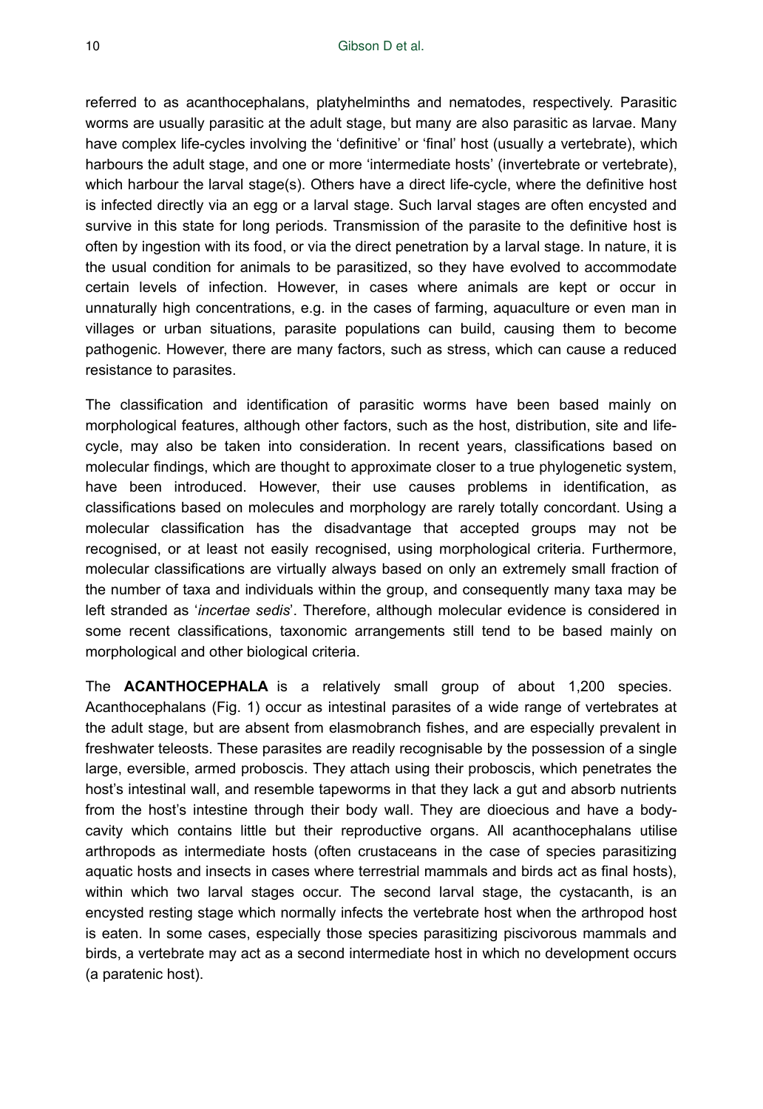referred to as acanthocephalans, platyhelminths and nematodes, respectively. Parasitic worms are usually parasitic at the adult stage, but many are also parasitic as larvae. Many have complex life-cycles involving the 'definitive' or 'final' host (usually a vertebrate), which harbours the adult stage, and one or more 'intermediate hosts' (invertebrate or vertebrate), which harbour the larval stage(s). Others have a direct life-cycle, where the definitive host is infected directly via an egg or a larval stage. Such larval stages are often encysted and survive in this state for long periods. Transmission of the parasite to the definitive host is often by ingestion with its food, or via the direct penetration by a larval stage. In nature, it is the usual condition for animals to be parasitized, so they have evolved to accommodate certain levels of infection. However, in cases where animals are kept or occur in unnaturally high concentrations, e.g. in the cases of farming, aquaculture or even man in villages or urban situations, parasite populations can build, causing them to become pathogenic. However, there are many factors, such as stress, which can cause a reduced resistance to parasites.

The classification and identification of parasitic worms have been based mainly on morphological features, although other factors, such as the host, distribution, site and lifecycle, may also be taken into consideration. In recent years, classifications based on molecular findings, which are thought to approximate closer to a true phylogenetic system, have been introduced. However, their use causes problems in identification, as classifications based on molecules and morphology are rarely totally concordant. Using a molecular classification has the disadvantage that accepted groups may not be recognised, or at least not easily recognised, using morphological criteria. Furthermore, molecular classifications are virtually always based on only an extremely small fraction of the number of taxa and individuals within the group, and consequently many taxa may be left stranded as '*incertae sedis*'. Therefore, although molecular evidence is considered in some recent classifications, taxonomic arrangements still tend to be based mainly on morphological and other biological criteria.

The **ACANTHOCEPHALA** is a relatively small group of about 1,200 species. Acanthocephalans (Fig. 1) occur as intestinal parasites of a wide range of vertebrates at the adult stage, but are absent from elasmobranch fishes, and are especially prevalent in freshwater teleosts. These parasites are readily recognisable by the possession of a single large, eversible, armed proboscis. They attach using their proboscis, which penetrates the host's intestinal wall, and resemble tapeworms in that they lack a gut and absorb nutrients from the host's intestine through their body wall. They are dioecious and have a bodycavity which contains little but their reproductive organs. All acanthocephalans utilise arthropods as intermediate hosts (often crustaceans in the case of species parasitizing aquatic hosts and insects in cases where terrestrial mammals and birds act as final hosts), within which two larval stages occur. The second larval stage, the cystacanth, is an encysted resting stage which normally infects the vertebrate host when the arthropod host is eaten. In some cases, especially those species parasitizing piscivorous mammals and birds, a vertebrate may act as a second intermediate host in which no development occurs (a paratenic host).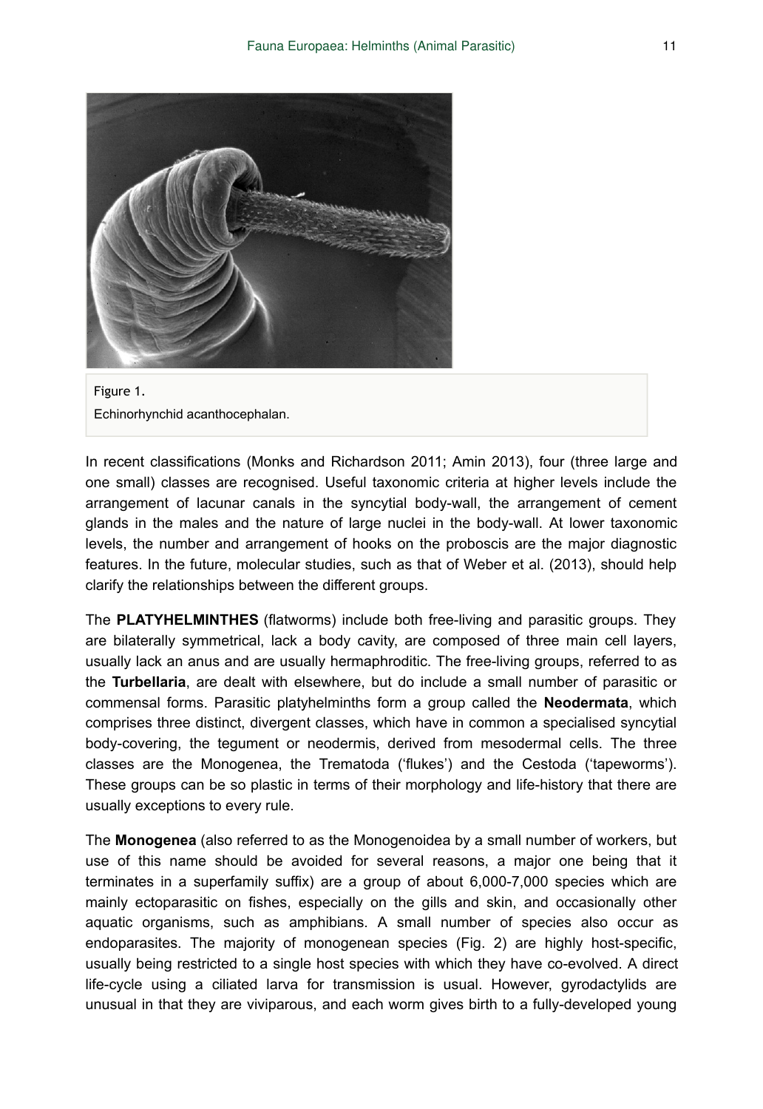



In recent classifications (Monks and Richardson 2011; Amin 2013), four (three large and one small) classes are recognised. Useful taxonomic criteria at higher levels include the arrangement of lacunar canals in the syncytial body-wall, the arrangement of cement glands in the males and the nature of large nuclei in the body-wall. At lower taxonomic levels, the number and arrangement of hooks on the proboscis are the major diagnostic features. In the future, molecular studies, such as that of Weber et al. (2013), should help clarify the relationships between the different groups.

The **PLATYHELMINTHES** (flatworms) include both free-living and parasitic groups. They are bilaterally symmetrical, lack a body cavity, are composed of three main cell layers, usually lack an anus and are usually hermaphroditic. The free-living groups, referred to as the **Turbellaria**, are dealt with elsewhere, but do include a small number of parasitic or commensal forms. Parasitic platyhelminths form a group called the **Neodermata**, which comprises three distinct, divergent classes, which have in common a specialised syncytial body-covering, the tegument or neodermis, derived from mesodermal cells. The three classes are the Monogenea, the Trematoda ('flukes') and the Cestoda ('tapeworms'). These groups can be so plastic in terms of their morphology and life-history that there are usually exceptions to every rule.

The **Monogenea** (also referred to as the Monogenoidea by a small number of workers, but use of this name should be avoided for several reasons, a major one being that it terminates in a superfamily suffix) are a group of about 6,000-7,000 species which are mainly ectoparasitic on fishes, especially on the gills and skin, and occasionally other aquatic organisms, such as amphibians. A small number of species also occur as endoparasites. The majority of monogenean species (Fig. 2) are highly host-specific, usually being restricted to a single host species with which they have co-evolved. A direct life-cycle using a ciliated larva for transmission is usual. However, gyrodactylids are unusual in that they are viviparous, and each worm gives birth to a fully-developed young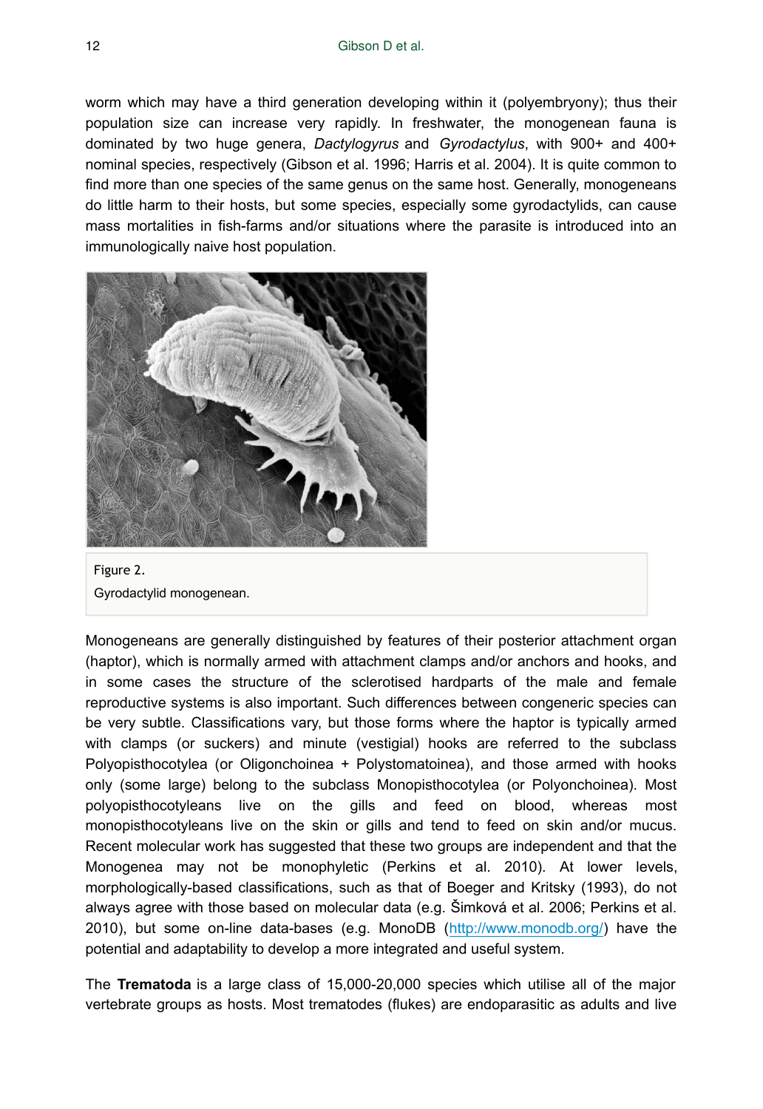worm which may have a third generation developing within it (polyembryony); thus their population size can increase very rapidly. In freshwater, the monogenean fauna is dominated by two huge genera, *Dactylogyrus* and *Gyrodactylus*, with 900+ and 400+ nominal species, respectively (Gibson et al. 1996; Harris et al. 2004). It is quite common to find more than one species of the same genus on the same host. Generally, monogeneans do little harm to their hosts, but some species, especially some gyrodactylids, can cause mass mortalities in fish-farms and/or situations where the parasite is introduced into an immunologically naive host population.



Figure 2. Gyrodactylid monogenean.

Monogeneans are generally distinguished by features of their posterior attachment organ (haptor), which is normally armed with attachment clamps and/or anchors and hooks, and in some cases the structure of the sclerotised hardparts of the male and female reproductive systems is also important. Such differences between congeneric species can be very subtle. Classifications vary, but those forms where the haptor is typically armed with clamps (or suckers) and minute (vestigial) hooks are referred to the subclass Polyopisthocotylea (or Oligonchoinea + Polystomatoinea), and those armed with hooks only (some large) belong to the subclass Monopisthocotylea (or Polyonchoinea). Most polyopisthocotyleans live on the gills and feed on blood, whereas most monopisthocotyleans live on the skin or gills and tend to feed on skin and/or mucus. Recent molecular work has suggested that these two groups are independent and that the Monogenea may not be monophyletic (Perkins et al. 2010). At lower levels, morphologically-based classifications, such as that of Boeger and Kritsky (1993), do not always agree with those based on molecular data (e.g. Šimková et al. 2006; Perkins et al. 2010), but some on-line data-bases (e.g. MonoDB (<http://www.monodb.org/>) have the potential and adaptability to develop a more integrated and useful system.

The **Trematoda** is a large class of 15,000-20,000 species which utilise all of the major vertebrate groups as hosts. Most trematodes (flukes) are endoparasitic as adults and live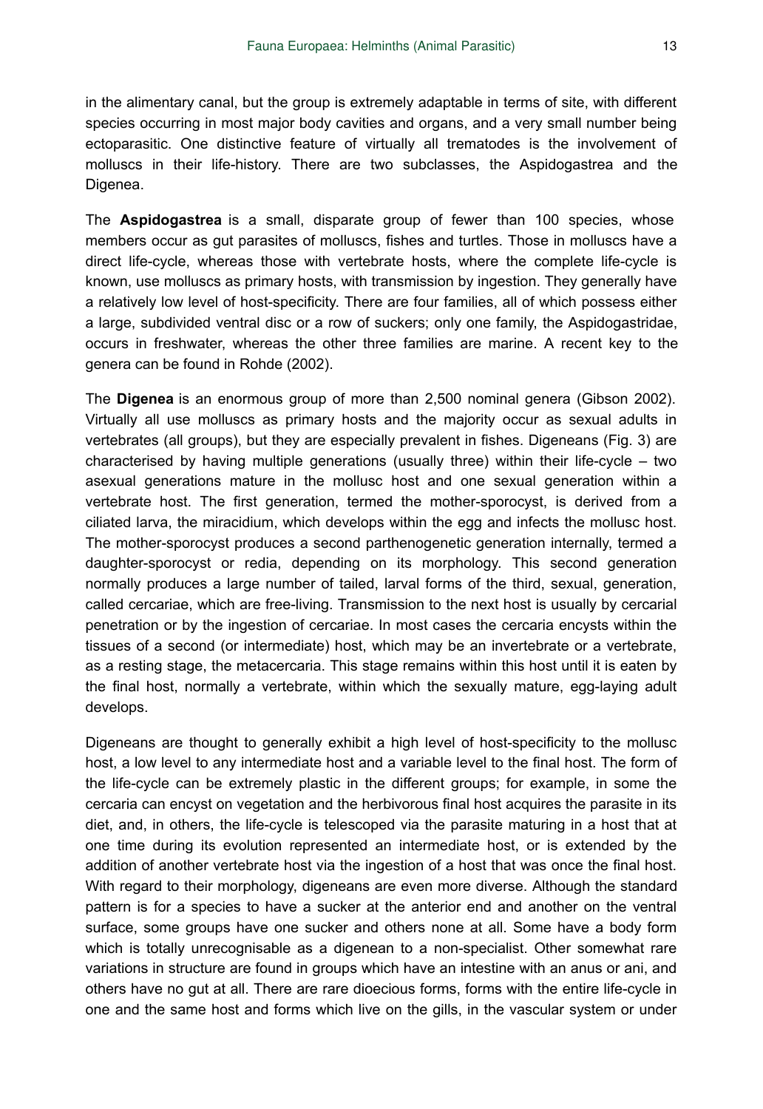in the alimentary canal, but the group is extremely adaptable in terms of site, with different species occurring in most major body cavities and organs, and a very small number being ectoparasitic. One distinctive feature of virtually all trematodes is the involvement of molluscs in their life-history. There are two subclasses, the Aspidogastrea and the Digenea.

The **Aspidogastrea** is a small, disparate group of fewer than 100 species, whose members occur as gut parasites of molluscs, fishes and turtles. Those in molluscs have a direct life-cycle, whereas those with vertebrate hosts, where the complete life-cycle is known, use molluscs as primary hosts, with transmission by ingestion. They generally have a relatively low level of host-specificity. There are four families, all of which possess either a large, subdivided ventral disc or a row of suckers; only one family, the Aspidogastridae, occurs in freshwater, whereas the other three families are marine. A recent key to the genera can be found in Rohde (2002).

The **Digenea** is an enormous group of more than 2,500 nominal genera (Gibson 2002). Virtually all use molluscs as primary hosts and the majority occur as sexual adults in vertebrates (all groups), but they are especially prevalent in fishes. Digeneans (Fig. 3) are characterised by having multiple generations (usually three) within their life-cycle  $-$  two asexual generations mature in the mollusc host and one sexual generation within a vertebrate host. The first generation, termed the mother-sporocyst, is derived from a ciliated larva, the miracidium, which develops within the egg and infects the mollusc host. The mother-sporocyst produces a second parthenogenetic generation internally, termed a daughter-sporocyst or redia, depending on its morphology. This second generation normally produces a large number of tailed, larval forms of the third, sexual, generation, called cercariae, which are free-living. Transmission to the next host is usually by cercarial penetration or by the ingestion of cercariae. In most cases the cercaria encysts within the tissues of a second (or intermediate) host, which may be an invertebrate or a vertebrate, as a resting stage, the metacercaria. This stage remains within this host until it is eaten by the final host, normally a vertebrate, within which the sexually mature, egg-laying adult develops.

Digeneans are thought to generally exhibit a high level of host-specificity to the mollusc host, a low level to any intermediate host and a variable level to the final host. The form of the life-cycle can be extremely plastic in the different groups; for example, in some the cercaria can encyst on vegetation and the herbivorous final host acquires the parasite in its diet, and, in others, the life-cycle is telescoped via the parasite maturing in a host that at one time during its evolution represented an intermediate host, or is extended by the addition of another vertebrate host via the ingestion of a host that was once the final host. With regard to their morphology, digeneans are even more diverse. Although the standard pattern is for a species to have a sucker at the anterior end and another on the ventral surface, some groups have one sucker and others none at all. Some have a body form which is totally unrecognisable as a digenean to a non-specialist. Other somewhat rare variations in structure are found in groups which have an intestine with an anus or ani, and others have no gut at all. There are rare dioecious forms, forms with the entire life-cycle in one and the same host and forms which live on the gills, in the vascular system or under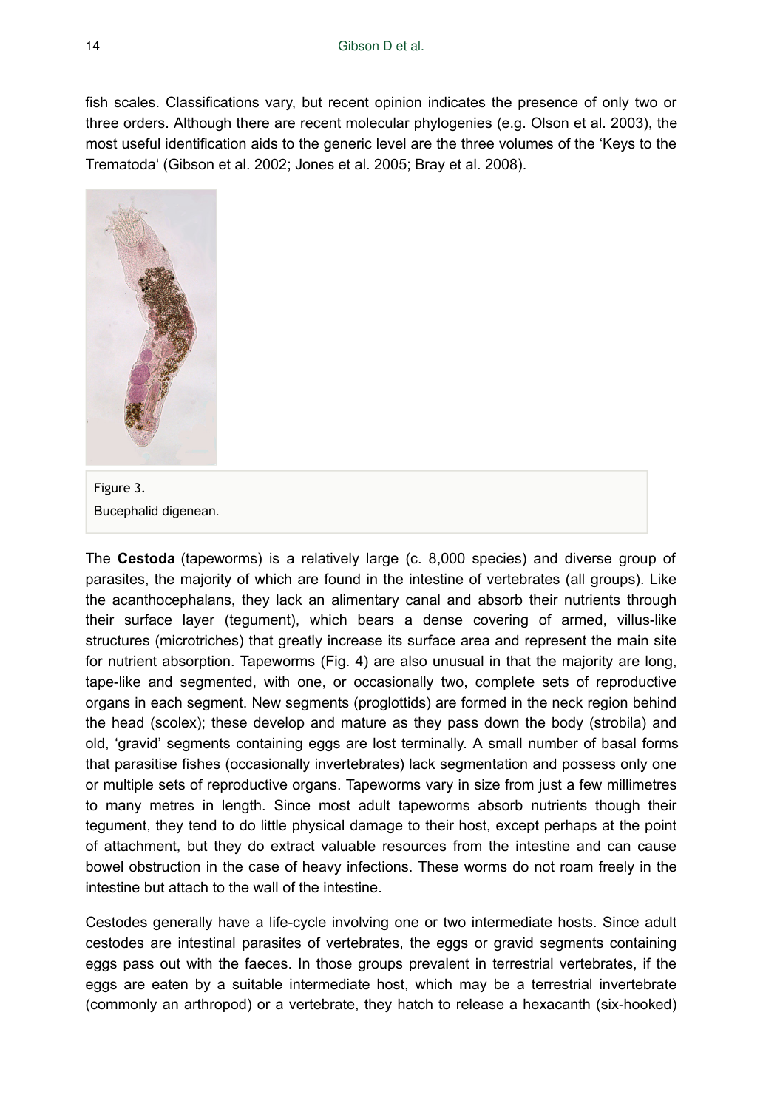fish scales. Classifications vary, but recent opinion indicates the presence of only two or three orders. Although there are recent molecular phylogenies (e.g. Olson et al. 2003), the most useful identification aids to the generic level are the three volumes of the 'Keys to the Trematoda' (Gibson et al. 2002; Jones et al. 2005; Bray et al. 2008).



Figure 3. Bucephalid digenean.

The **Cestoda** (tapeworms) is a relatively large (c. 8,000 species) and diverse group of parasites, the majority of which are found in the intestine of vertebrates (all groups). Like the acanthocephalans, they lack an alimentary canal and absorb their nutrients through their surface layer (tegument), which bears a dense covering of armed, villus-like structures (microtriches) that greatly increase its surface area and represent the main site for nutrient absorption. Tapeworms (Fig. 4) are also unusual in that the majority are long, tape-like and segmented, with one, or occasionally two, complete sets of reproductive organs in each segment. New segments (proglottids) are formed in the neck region behind the head (scolex); these develop and mature as they pass down the body (strobila) and old, 'gravid' segments containing eggs are lost terminally. A small number of basal forms that parasitise fishes (occasionally invertebrates) lack segmentation and possess only one or multiple sets of reproductive organs. Tapeworms vary in size from just a few millimetres to many metres in length. Since most adult tapeworms absorb nutrients though their tegument, they tend to do little physical damage to their host, except perhaps at the point of attachment, but they do extract valuable resources from the intestine and can cause bowel obstruction in the case of heavy infections. These worms do not roam freely in the intestine but attach to the wall of the intestine.

Cestodes generally have a life-cycle involving one or two intermediate hosts. Since adult cestodes are intestinal parasites of vertebrates, the eggs or gravid segments containing eggs pass out with the faeces. In those groups prevalent in terrestrial vertebrates, if the eggs are eaten by a suitable intermediate host, which may be a terrestrial invertebrate (commonly an arthropod) or a vertebrate, they hatch to release a hexacanth (six-hooked)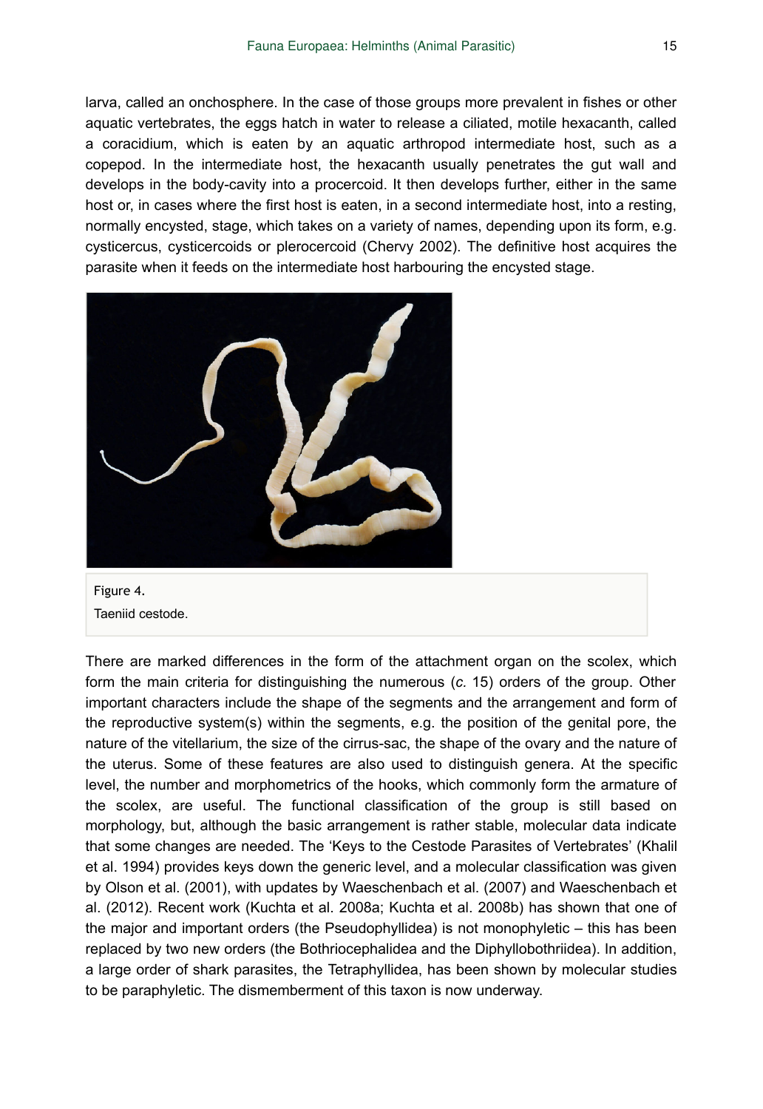larva, called an onchosphere. In the case of those groups more prevalent in fishes or other aquatic vertebrates, the eggs hatch in water to release a ciliated, motile hexacanth, called a coracidium, which is eaten by an aquatic arthropod intermediate host, such as a copepod. In the intermediate host, the hexacanth usually penetrates the gut wall and develops in the body-cavity into a procercoid. It then develops further, either in the same host or, in cases where the first host is eaten, in a second intermediate host, into a resting, normally encysted, stage, which takes on a variety of names, depending upon its form, e.g. cysticercus, cysticercoids or plerocercoid (Chervy 2002). The definitive host acquires the parasite when it feeds on the intermediate host harbouring the encysted stage.



Figure 4. Taeniid cestode.

There are marked differences in the form of the attachment organ on the scolex, which form the main criteria for distinguishing the numerous (*c.* 15) orders of the group. Other important characters include the shape of the segments and the arrangement and form of the reproductive system(s) within the segments, e.g. the position of the genital pore, the nature of the vitellarium, the size of the cirrus-sac, the shape of the ovary and the nature of the uterus. Some of these features are also used to distinguish genera. At the specific level, the number and morphometrics of the hooks, which commonly form the armature of the scolex, are useful. The functional classification of the group is still based on morphology, but, although the basic arrangement is rather stable, molecular data indicate that some changes are needed. The 'Keys to the Cestode Parasites of Vertebrates' (Khalil et al. 1994) provides keys down the generic level, and a molecular classification was given by Olson et al. (2001), with updates by Waeschenbach et al. (2007) and Waeschenbach et al. (2012). Recent work (Kuchta et al. 2008a; Kuchta et al. 2008b) has shown that one of the major and important orders (the Pseudophyllidea) is not monophyletic – this has been replaced by two new orders (the Bothriocephalidea and the Diphyllobothriidea). In addition, a large order of shark parasites, the Tetraphyllidea, has been shown by molecular studies to be paraphyletic. The dismemberment of this taxon is now underway.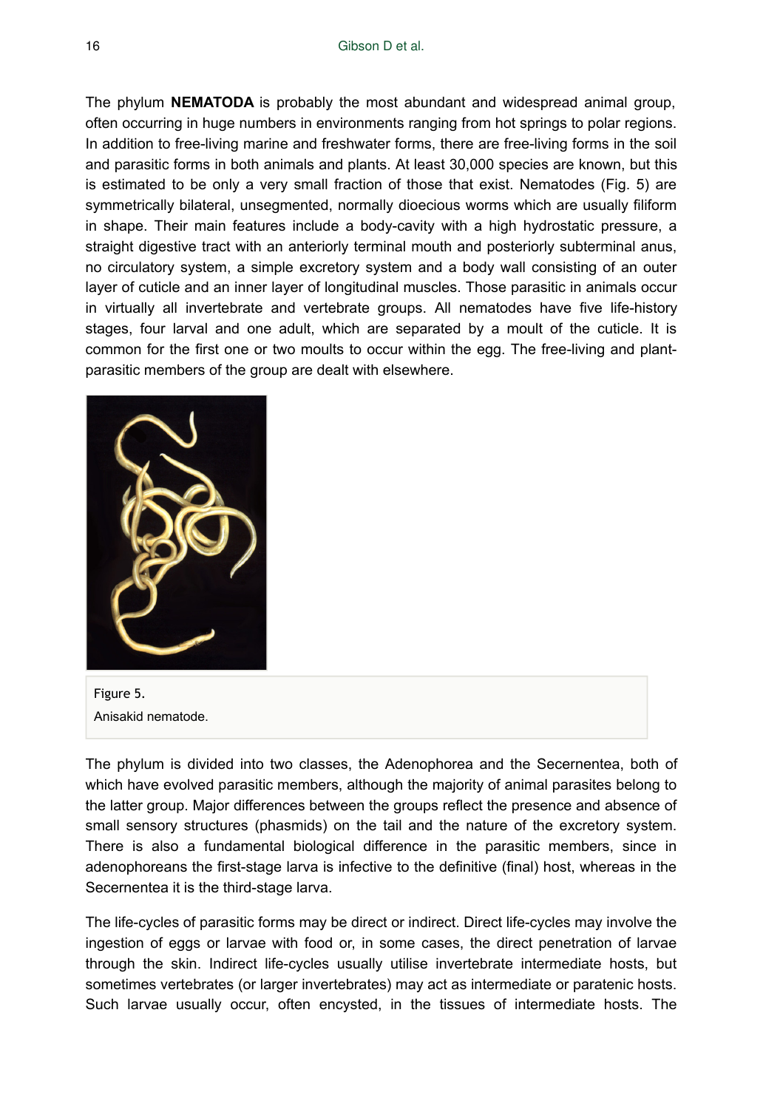The phylum **NEMATODA** is probably the most abundant and widespread animal group, often occurring in huge numbers in environments ranging from hot springs to polar regions. In addition to free-living marine and freshwater forms, there are free-living forms in the soil and parasitic forms in both animals and plants. At least 30,000 species are known, but this is estimated to be only a very small fraction of those that exist. Nematodes (Fig. 5) are symmetrically bilateral, unsegmented, normally dioecious worms which are usually filiform in shape. Their main features include a body-cavity with a high hydrostatic pressure, a straight digestive tract with an anteriorly terminal mouth and posteriorly subterminal anus, no circulatory system, a simple excretory system and a body wall consisting of an outer layer of cuticle and an inner layer of longitudinal muscles. Those parasitic in animals occur in virtually all invertebrate and vertebrate groups. All nematodes have five life-history stages, four larval and one adult, which are separated by a moult of the cuticle. It is common for the first one or two moults to occur within the egg. The free-living and plantparasitic members of the group are dealt with elsewhere.



Figure 5. Anisakid nematode.

The phylum is divided into two classes, the Adenophorea and the Secernentea, both of which have evolved parasitic members, although the majority of animal parasites belong to the latter group. Major differences between the groups reflect the presence and absence of small sensory structures (phasmids) on the tail and the nature of the excretory system. There is also a fundamental biological difference in the parasitic members, since in adenophoreans the first-stage larva is infective to the definitive (final) host, whereas in the Secernentea it is the third-stage larva.

The life-cycles of parasitic forms may be direct or indirect. Direct life-cycles may involve the ingestion of eggs or larvae with food or, in some cases, the direct penetration of larvae through the skin. Indirect life-cycles usually utilise invertebrate intermediate hosts, but sometimes vertebrates (or larger invertebrates) may act as intermediate or paratenic hosts. Such larvae usually occur, often encysted, in the tissues of intermediate hosts. The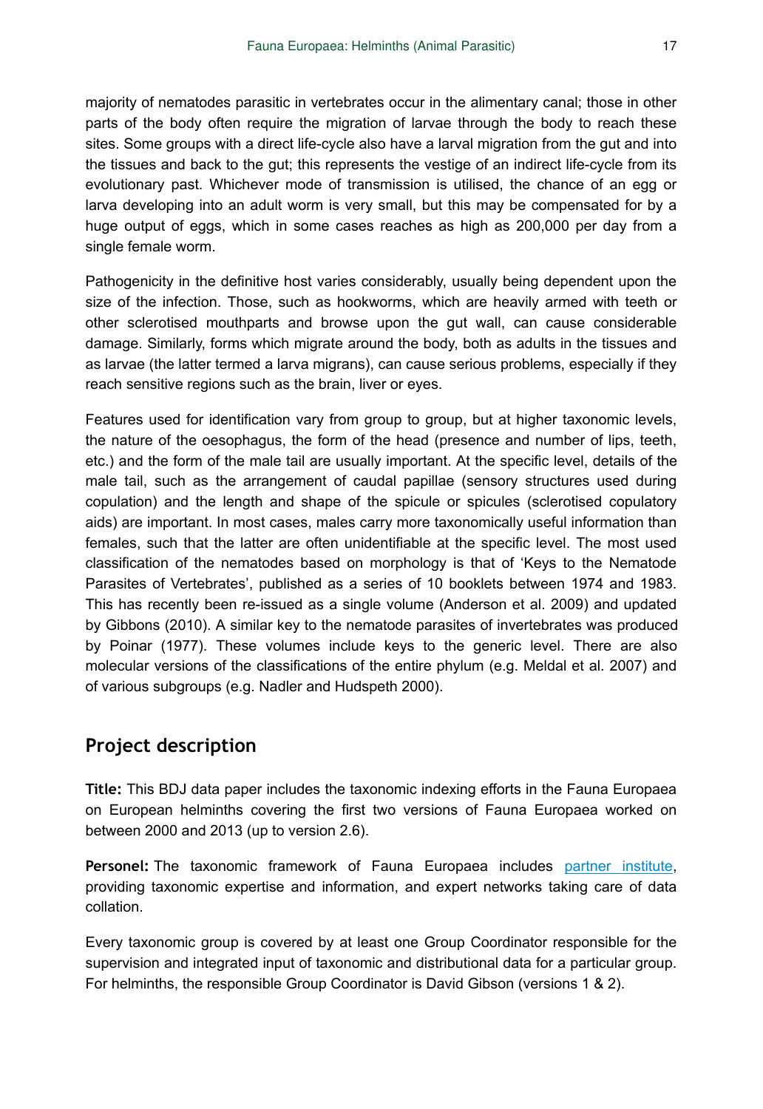majority of nematodes parasitic in vertebrates occur in the alimentary canal; those in other parts of the body often require the migration of larvae through the body to reach these sites. Some groups with a direct life-cycle also have a larval migration from the gut and into the tissues and back to the gut; this represents the vestige of an indirect life-cycle from its evolutionary past. Whichever mode of transmission is utilised, the chance of an egg or larva developing into an adult worm is very small, but this may be compensated for by a huge output of eggs, which in some cases reaches as high as 200,000 per day from a single female worm.

Pathogenicity in the definitive host varies considerably, usually being dependent upon the size of the infection. Those, such as hookworms, which are heavily armed with teeth or other sclerotised mouthparts and browse upon the gut wall, can cause considerable damage. Similarly, forms which migrate around the body, both as adults in the tissues and as larvae (the latter termed a larva migrans), can cause serious problems, especially if they reach sensitive regions such as the brain, liver or eyes.

Features used for identification vary from group to group, but at higher taxonomic levels, the nature of the oesophagus, the form of the head (presence and number of lips, teeth, etc.) and the form of the male tail are usually important. At the specific level, details of the male tail, such as the arrangement of caudal papillae (sensory structures used during copulation) and the length and shape of the spicule or spicules (sclerotised copulatory aids) are important. In most cases, males carry more taxonomically useful information than females, such that the latter are often unidentifiable at the specific level. The most used classification of the nematodes based on morphology is that of 'Keys to the Nematode Parasites of Vertebrates', published as a series of 10 booklets between 1974 and 1983. This has recently been re-issued as a single volume (Anderson et al. 2009) and updated by Gibbons (2010). A similar key to the nematode parasites of invertebrates was produced by Poinar (1977). These volumes include keys to the generic level. There are also molecular versions of the classifications of the entire phylum (e.g. Meldal et al. 2007) and of various subgroups (e.g. Nadler and Hudspeth 2000).

#### **Project description**

**Title:** This BDJ data paper includes the taxonomic indexing efforts in the Fauna Europaea on European helminths covering the first two versions of Fauna Europaea worked on between 2000 and 2013 (up to version 2.6).

Personel: The taxonomic framework of Fauna Europaea includes [partner institute,](http://www.faunaeur.org/about_fauna_participants.php) providing taxonomic expertise and information, and expert networks taking care of data collation.

Every taxonomic group is covered by at least one Group Coordinator responsible for the supervision and integrated input of taxonomic and distributional data for a particular group. For helminths, the responsible Group Coordinator is David Gibson (versions 1 & 2).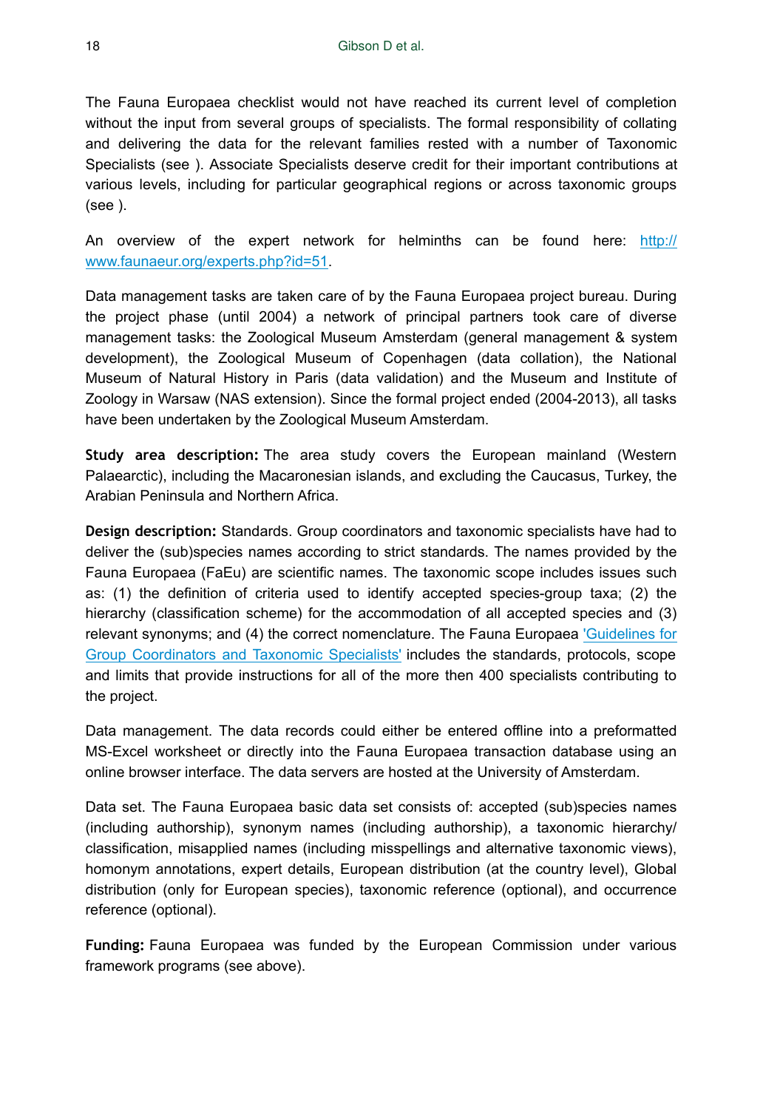The Fauna Europaea checklist would not have reached its current level of completion without the input from several groups of specialists. The formal responsibility of collating and delivering the data for the relevant families rested with a number of Taxonomic Specialists (see ). Associate Specialists deserve credit for their important contributions at various levels, including for particular geographical regions or across taxonomic groups (see ).

An overview of the expert network for helminths can be found here: [http://](http://www.faunaeur.org/experts.php?id=51) [www.faunaeur.org/experts.php?id=51](http://www.faunaeur.org/experts.php?id=51).

Data management tasks are taken care of by the Fauna Europaea project bureau. During the project phase (until 2004) a network of principal partners took care of diverse management tasks: the Zoological Museum Amsterdam (general management & system development), the Zoological Museum of Copenhagen (data collation), the National Museum of Natural History in Paris (data validation) and the Museum and Institute of Zoology in Warsaw (NAS extension). Since the formal project ended (2004-2013), all tasks have been undertaken by the Zoological Museum Amsterdam.

**Study area description:** The area study covers the European mainland (Western Palaearctic), including the Macaronesian islands, and excluding the Caucasus, Turkey, the Arabian Peninsula and Northern Africa.

**Design description:** Standards. Group coordinators and taxonomic specialists have had to deliver the (sub)species names according to strict standards. The names provided by the Fauna Europaea (FaEu) are scientific names. The taxonomic scope includes issues such as: (1) the definition of criteria used to identify accepted species-group taxa; (2) the hierarchy (classification scheme) for the accommodation of all accepted species and (3) relevant synonyms; and (4) the correct nomenclature. The Fauna Europaea ['Guidelines for](http://www.faunaeur.org/documents/FaEu_Guidelines_v4.0.1.pdf) [Group Coordinators and Taxonomic Specialists'](http://www.faunaeur.org/documents/FaEu_Guidelines_v4.0.1.pdf) includes the standards, protocols, scope and limits that provide instructions for all of the more then 400 specialists contributing to the project.

Data management. The data records could either be entered offline into a preformatted MS-Excel worksheet or directly into the Fauna Europaea transaction database using an online browser interface. The data servers are hosted at the University of Amsterdam.

Data set. The Fauna Europaea basic data set consists of: accepted (sub)species names (including authorship), synonym names (including authorship), a taxonomic hierarchy/ classification, misapplied names (including misspellings and alternative taxonomic views), homonym annotations, expert details, European distribution (at the country level), Global distribution (only for European species), taxonomic reference (optional), and occurrence reference (optional).

**Funding:** Fauna Europaea was funded by the European Commission under various framework programs (see above).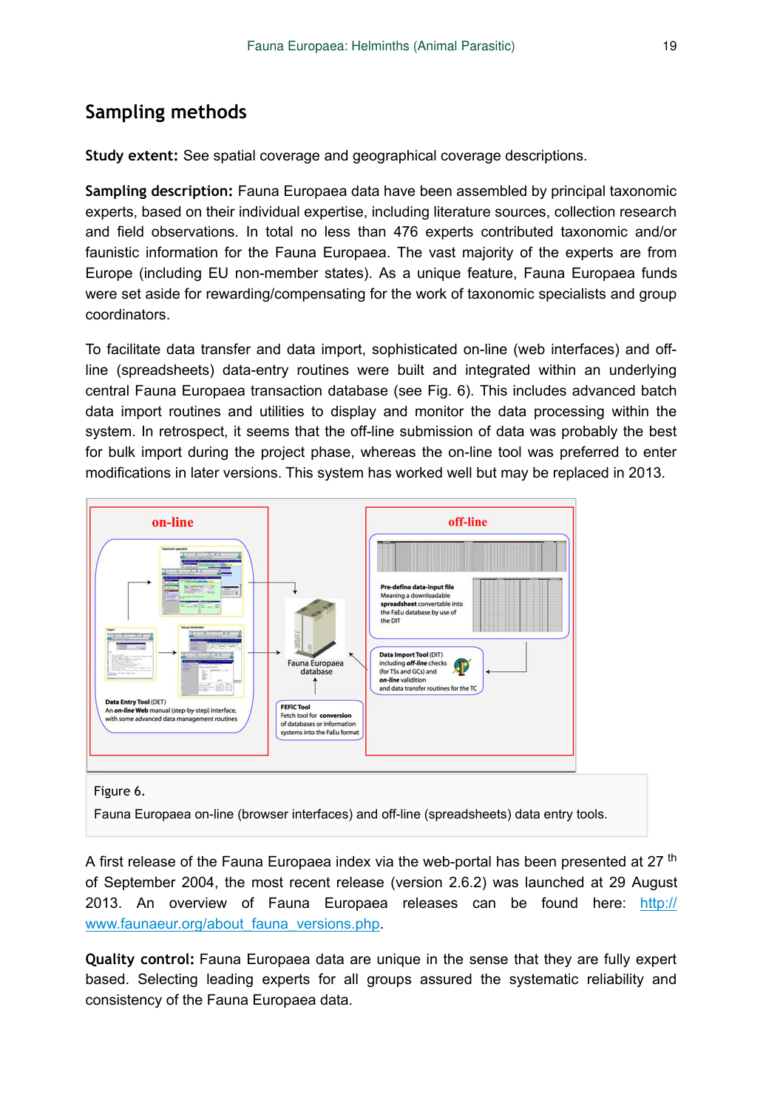### **Sampling methods**

**Study extent:** See spatial coverage and geographical coverage descriptions.

**Sampling description:** Fauna Europaea data have been assembled by principal taxonomic experts, based on their individual expertise, including literature sources, collection research and field observations. In total no less than 476 experts contributed taxonomic and/or faunistic information for the Fauna Europaea. The vast majority of the experts are from Europe (including EU non-member states). As a unique feature, Fauna Europaea funds were set aside for rewarding/compensating for the work of taxonomic specialists and group coordinators.

To facilitate data transfer and data import, sophisticated on-line (web interfaces) and offline (spreadsheets) data-entry routines were built and integrated within an underlying central Fauna Europaea transaction database (see Fig. 6). This includes advanced batch data import routines and utilities to display and monitor the data processing within the system. In retrospect, it seems that the off-line submission of data was probably the best for bulk import during the project phase, whereas the on-line tool was preferred to enter modifications in later versions. This system has worked well but may be replaced in 2013.



#### Figure 6.

Fauna Europaea on-line (browser interfaces) and off-line (spreadsheets) data entry tools.

A first release of the Fauna Europaea index via the web-portal has been presented at 27 <sup>th</sup> of September 2004, the most recent release (version 2.6.2) was launched at 29 August 2013. An overview of Fauna Europaea releases can be found here: [http://](http://www.faunaeur.org/about_fauna_versions.php) www.faunaeur.org/about fauna\_versions.php.

**Quality control:** Fauna Europaea data are unique in the sense that they are fully expert based. Selecting leading experts for all groups assured the systematic reliability and consistency of the Fauna Europaea data.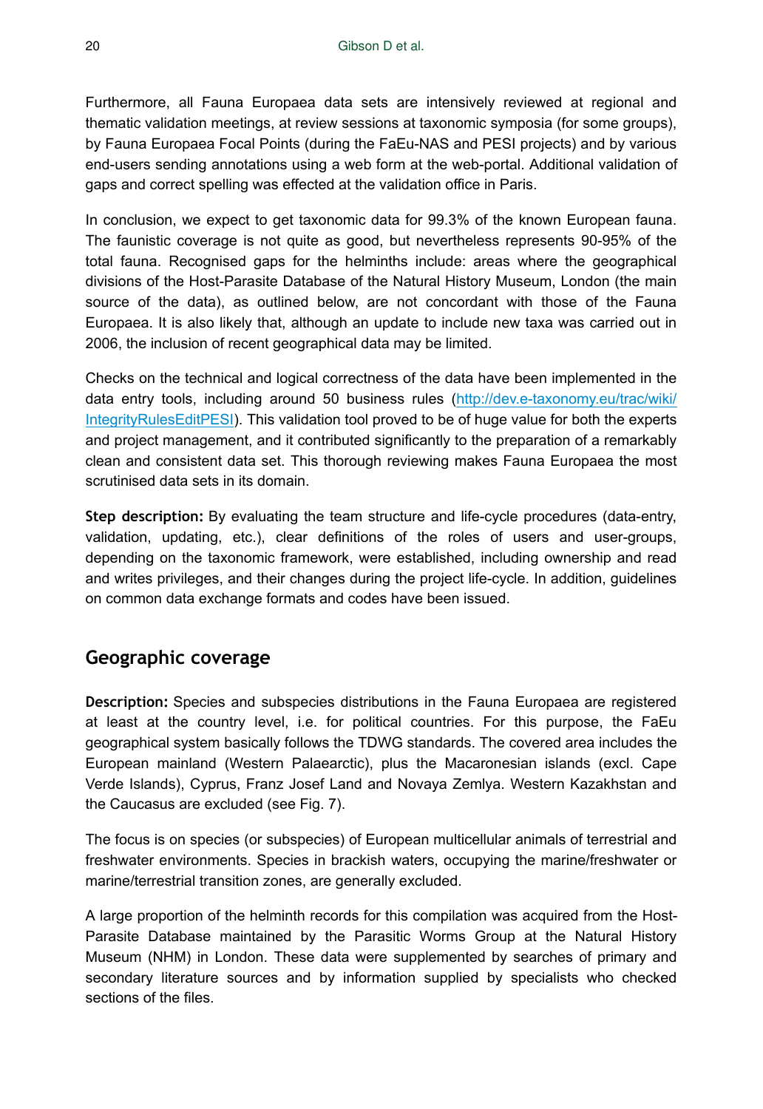Furthermore, all Fauna Europaea data sets are intensively reviewed at regional and thematic validation meetings, at review sessions at taxonomic symposia (for some groups), by Fauna Europaea Focal Points (during the FaEu-NAS and PESI projects) and by various end-users sending annotations using a web form at the web-portal. Additional validation of gaps and correct spelling was effected at the validation office in Paris.

In conclusion, we expect to get taxonomic data for 99.3% of the known European fauna. The faunistic coverage is not quite as good, but nevertheless represents 90-95% of the total fauna. Recognised gaps for the helminths include: areas where the geographical divisions of the Host-Parasite Database of the Natural History Museum, London (the main source of the data), as outlined below, are not concordant with those of the Fauna Europaea. It is also likely that, although an update to include new taxa was carried out in 2006, the inclusion of recent geographical data may be limited.

Checks on the technical and logical correctness of the data have been implemented in the data entry tools, including around 50 business rules ([http://dev.e-taxonomy.eu/trac/wiki/](http://dev.e-taxonomy.eu/trac/wiki/IntegrityRulesEditPESI) [IntegrityRulesEditPESI](http://dev.e-taxonomy.eu/trac/wiki/IntegrityRulesEditPESI)). This validation tool proved to be of huge value for both the experts and project management, and it contributed significantly to the preparation of a remarkably clean and consistent data set. This thorough reviewing makes Fauna Europaea the most scrutinised data sets in its domain.

**Step description:** By evaluating the team structure and life-cycle procedures (data-entry, validation, updating, etc.), clear definitions of the roles of users and user-groups, depending on the taxonomic framework, were established, including ownership and read and writes privileges, and their changes during the project life-cycle. In addition, guidelines on common data exchange formats and codes have been issued.

# **Geographic coverage**

**Description:** Species and subspecies distributions in the Fauna Europaea are registered at least at the country level, i.e. for political countries. For this purpose, the FaEu geographical system basically follows the TDWG standards. The covered area includes the European mainland (Western Palaearctic), plus the Macaronesian islands (excl. Cape Verde Islands), Cyprus, Franz Josef Land and Novaya Zemlya. Western Kazakhstan and the Caucasus are excluded (see Fig. 7).

The focus is on species (or subspecies) of European multicellular animals of terrestrial and freshwater environments. Species in brackish waters, occupying the marine/freshwater or marine/terrestrial transition zones, are generally excluded.

A large proportion of the helminth records for this compilation was acquired from the Host-Parasite Database maintained by the Parasitic Worms Group at the Natural History Museum (NHM) in London. These data were supplemented by searches of primary and secondary literature sources and by information supplied by specialists who checked sections of the files.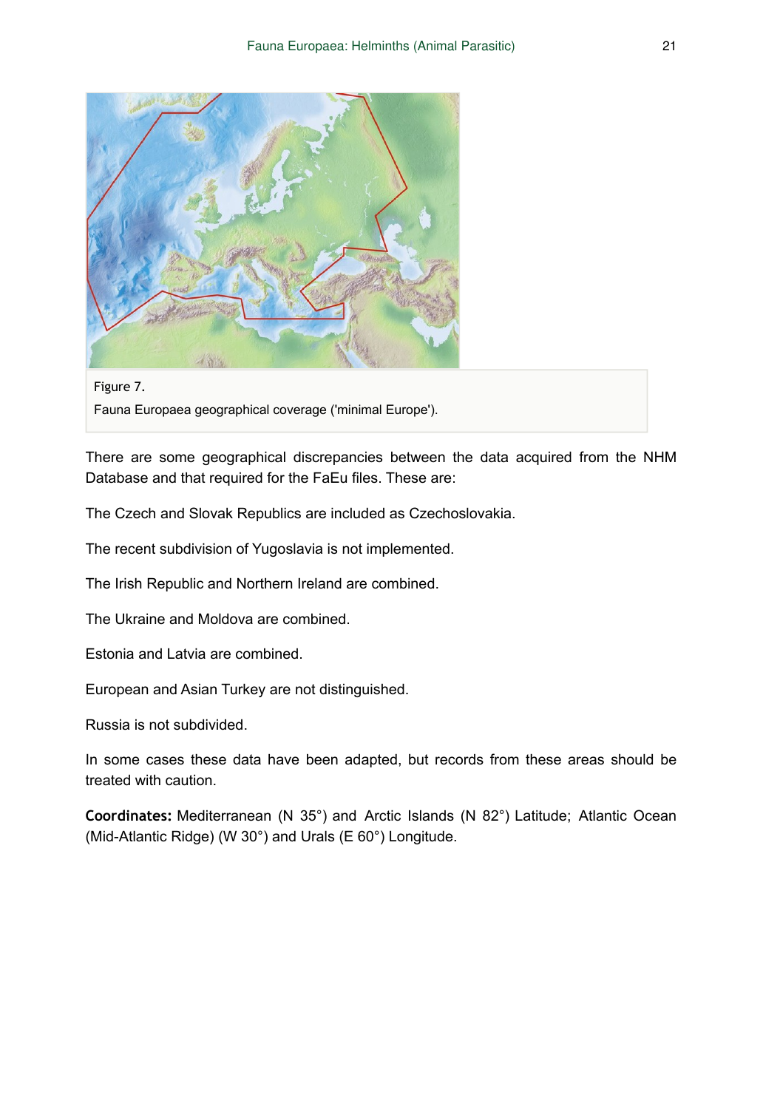

Figure 7. Fauna Europaea geographical coverage ('minimal Europe').

There are some geographical discrepancies between the data acquired from the NHM Database and that required for the FaEu files. These are:

The Czech and Slovak Republics are included as Czechoslovakia.

The recent subdivision of Yugoslavia is not implemented.

The Irish Republic and Northern Ireland are combined.

The Ukraine and Moldova are combined.

Estonia and Latvia are combined.

European and Asian Turkey are not distinguished.

Russia is not subdivided.

In some cases these data have been adapted, but records from these areas should be treated with caution.

**Coordinates:** Mediterranean (N 35°) and Arctic Islands (N 82°) Latitude; Atlantic Ocean (Mid-Atlantic Ridge) (W 30°) and Urals (E 60°) Longitude.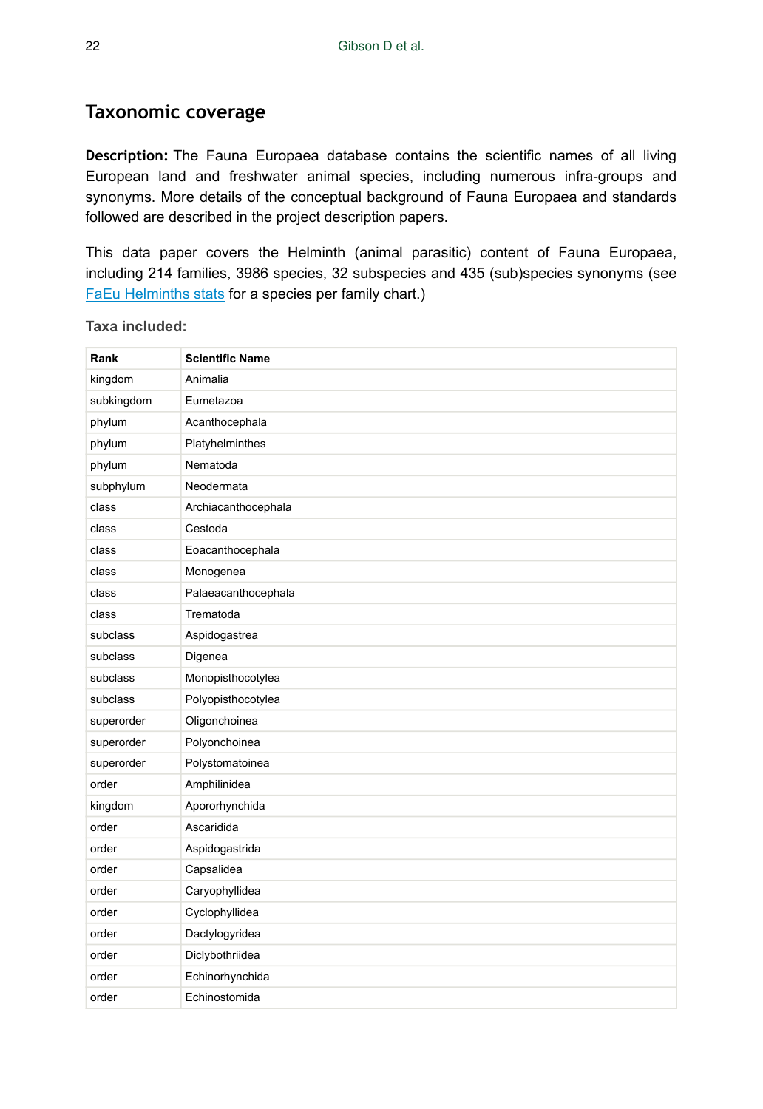### **Taxonomic coverage**

**Description:** The Fauna Europaea database contains the scientific names of all living European land and freshwater animal species, including numerous infra-groups and synonyms. More details of the conceptual background of Fauna Europaea and standards followed are described in the project description papers.

This data paper covers the Helminth (animal parasitic) content of Fauna Europaea, including 214 families, 3986 species, 32 subspecies and 435 (sub)species synonyms (see [FaEu Helminths stats](http://www.faunaeur.org/files/data_papers/FaEu_Helminths_stats.jpg) for a species per family chart.)

| Rank       | <b>Scientific Name</b> |
|------------|------------------------|
| kingdom    | Animalia               |
| subkingdom | Eumetazoa              |
| phylum     | Acanthocephala         |
| phylum     | Platyhelminthes        |
| phylum     | Nematoda               |
| subphylum  | Neodermata             |
| class      | Archiacanthocephala    |
| class      | Cestoda                |
| class      | Eoacanthocephala       |
| class      | Monogenea              |
| class      | Palaeacanthocephala    |
| class      | Trematoda              |
| subclass   | Aspidogastrea          |
| subclass   | Digenea                |
| subclass   | Monopisthocotylea      |
| subclass   | Polyopisthocotylea     |
| superorder | Oligonchoinea          |
| superorder | Polyonchoinea          |
| superorder | Polystomatoinea        |
| order      | Amphilinidea           |
| kingdom    | Apororhynchida         |
| order      | Ascaridida             |
| order      | Aspidogastrida         |
| order      | Capsalidea             |
| order      | Caryophyllidea         |
| order      | Cyclophyllidea         |
| order      | Dactylogyridea         |
| order      | Diclybothriidea        |
| order      | Echinorhynchida        |
| order      | Echinostomida          |

**Taxa included:**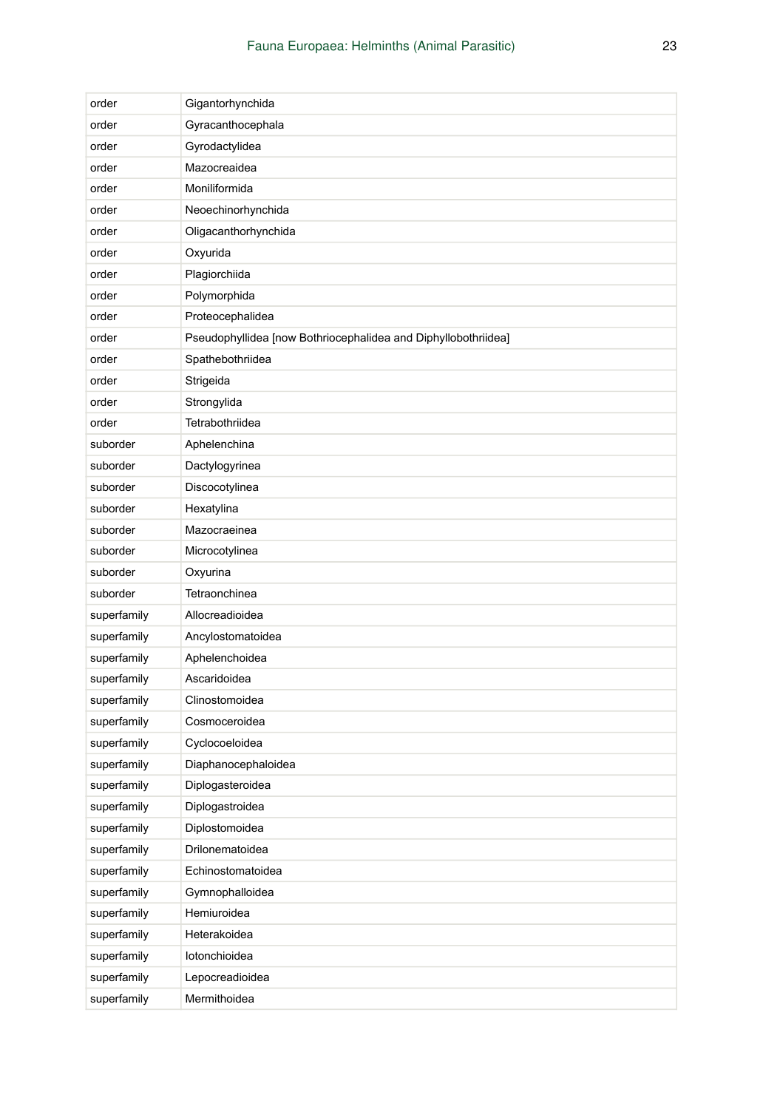| order       | Gigantorhynchida                                               |
|-------------|----------------------------------------------------------------|
| order       | Gyracanthocephala                                              |
| order       | Gyrodactylidea                                                 |
| order       | Mazocreaidea                                                   |
| order       | Moniliformida                                                  |
| order       | Neoechinorhynchida                                             |
| order       | Oligacanthorhynchida                                           |
| order       | Oxyurida                                                       |
| order       | Plagiorchiida                                                  |
| order       | Polymorphida                                                   |
| order       | Proteocephalidea                                               |
| order       | Pseudophyllidea [now Bothriocephalidea and Diphyllobothriidea] |
| order       | Spathebothriidea                                               |
| order       | Strigeida                                                      |
| order       | Strongylida                                                    |
| order       | Tetrabothriidea                                                |
| suborder    | Aphelenchina                                                   |
| suborder    | Dactylogyrinea                                                 |
| suborder    | Discocotylinea                                                 |
| suborder    | Hexatylina                                                     |
| suborder    | Mazocraeinea                                                   |
| suborder    | Microcotylinea                                                 |
| suborder    | Oxyurina                                                       |
| suborder    | Tetraonchinea                                                  |
| superfamily | Allocreadioidea                                                |
| superfamily | Ancylostomatoidea                                              |
| superfamily | Aphelenchoidea                                                 |
| superfamily | Ascaridoidea                                                   |
| superfamily | Clinostomoidea                                                 |
| superfamily | Cosmoceroidea                                                  |
| superfamily | Cyclocoeloidea                                                 |
| superfamily | Diaphanocephaloidea                                            |
| superfamily | Diplogasteroidea                                               |
| superfamily | Diplogastroidea                                                |
| superfamily | Diplostomoidea                                                 |
| superfamily | Drilonematoidea                                                |
| superfamily | Echinostomatoidea                                              |
| superfamily | Gymnophalloidea                                                |
| superfamily | Hemiuroidea                                                    |
| superfamily | Heterakoidea                                                   |
| superfamily | lotonchioidea                                                  |
| superfamily | Lepocreadioidea                                                |
| superfamily | Mermithoidea                                                   |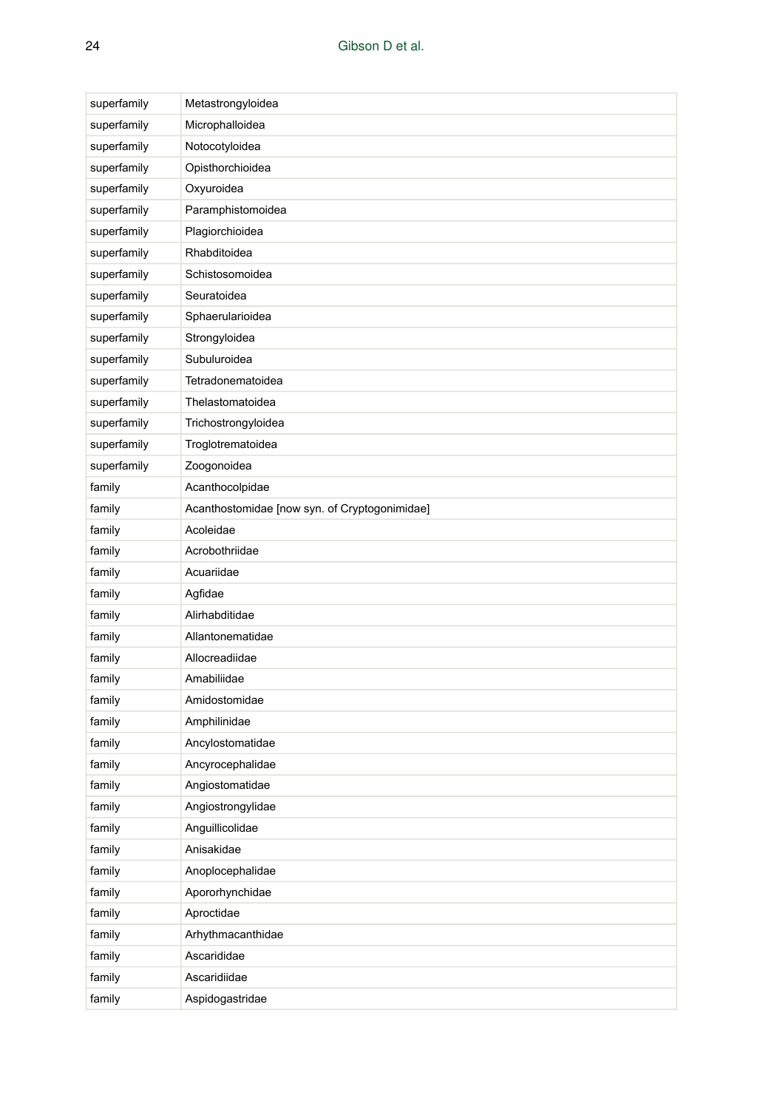| superfamily | Metastrongyloidea                             |
|-------------|-----------------------------------------------|
| superfamily | Microphalloidea                               |
| superfamily | Notocotyloidea                                |
| superfamily | Opisthorchioidea                              |
| superfamily | Oxyuroidea                                    |
| superfamily | Paramphistomoidea                             |
| superfamily | Plagiorchioidea                               |
| superfamily | Rhabditoidea                                  |
| superfamily | Schistosomoidea                               |
| superfamily | Seuratoidea                                   |
| superfamily | Sphaerularioidea                              |
| superfamily | Strongyloidea                                 |
| superfamily | Subuluroidea                                  |
| superfamily | Tetradonematoidea                             |
| superfamily | Thelastomatoidea                              |
| superfamily | Trichostrongyloidea                           |
| superfamily | Troglotrematoidea                             |
| superfamily | Zoogonoidea                                   |
| family      | Acanthocolpidae                               |
| family      | Acanthostomidae [now syn. of Cryptogonimidae] |
| family      | Acoleidae                                     |
| family      | Acrobothriidae                                |
| family      | Acuariidae                                    |
| family      | Agfidae                                       |
| family      | Alirhabditidae                                |
| family      | Allantonematidae                              |
| family      | Allocreadiidae                                |
| family      | Amabiliidae                                   |
| family      | Amidostomidae                                 |
| family      | Amphilinidae                                  |
| family      | Ancylostomatidae                              |
| family      | Ancyrocephalidae                              |
| family      | Angiostomatidae                               |
| family      | Angiostrongylidae                             |
| family      | Anguillicolidae                               |
| family      | Anisakidae                                    |
| family      | Anoplocephalidae                              |
| family      | Apororhynchidae                               |
| family      | Aproctidae                                    |
| family      | Arhythmacanthidae                             |
| family      | Ascarididae                                   |
| family      | Ascaridiidae                                  |
| family      | Aspidogastridae                               |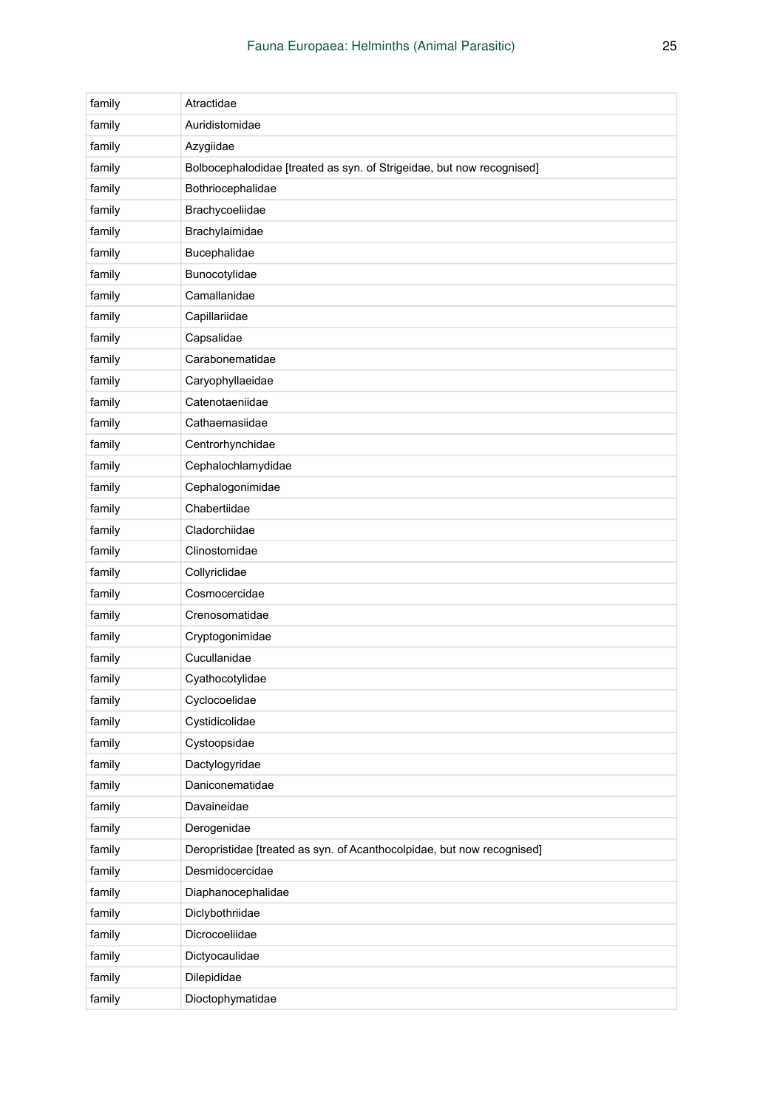| family | Atractidae                                                             |
|--------|------------------------------------------------------------------------|
| family | Auridistomidae                                                         |
| family | Azygiidae                                                              |
| family | Bolbocephalodidae [treated as syn. of Strigeidae, but now recognised]  |
| family | Bothriocephalidae                                                      |
| family | Brachycoeliidae                                                        |
| family | Brachylaimidae                                                         |
| family | Bucephalidae                                                           |
| family | Bunocotylidae                                                          |
| family | Camallanidae                                                           |
| family | Capillariidae                                                          |
| family | Capsalidae                                                             |
| family | Carabonematidae                                                        |
| family | Caryophyllaeidae                                                       |
| family | Catenotaeniidae                                                        |
| family | Cathaemasiidae                                                         |
| family | Centrorhynchidae                                                       |
| family | Cephalochlamydidae                                                     |
| family | Cephalogonimidae                                                       |
| family | Chabertiidae                                                           |
| family | Cladorchiidae                                                          |
| family | Clinostomidae                                                          |
| family | Collyriclidae                                                          |
| family | Cosmocercidae                                                          |
| family | Crenosomatidae                                                         |
| family | Cryptogonimidae                                                        |
| family | Cucullanidae                                                           |
| family | Cyathocotylidae                                                        |
| family | Cyclocoelidae                                                          |
| family | Cystidicolidae                                                         |
| family | Cystoopsidae                                                           |
| family | Dactylogyridae                                                         |
| family | Daniconematidae                                                        |
| family | Davaineidae                                                            |
| family | Derogenidae                                                            |
| family | Deropristidae [treated as syn. of Acanthocolpidae, but now recognised] |
| family | Desmidocercidae                                                        |
| family | Diaphanocephalidae                                                     |
| family | Diclybothriidae                                                        |
| family | Dicrocoeliidae                                                         |
| family | Dictyocaulidae                                                         |
| family | Dilepididae                                                            |
| family | Dioctophymatidae                                                       |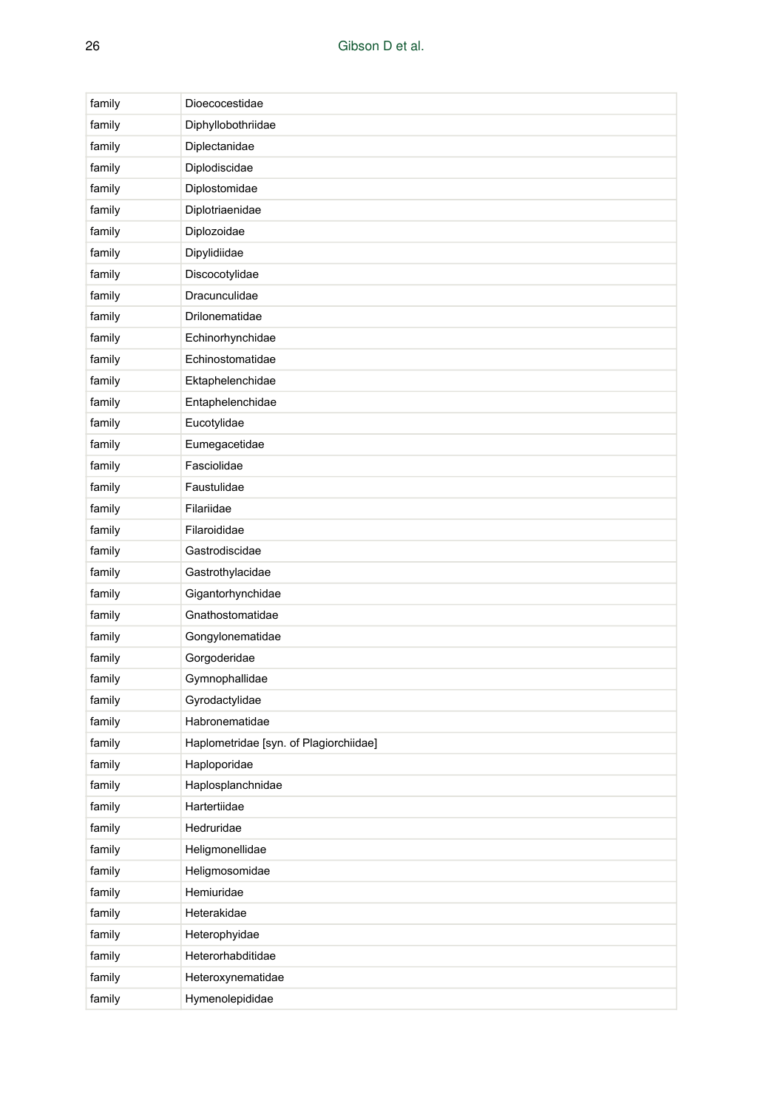| family | Dioecocestidae                         |
|--------|----------------------------------------|
| family | Diphyllobothriidae                     |
| family | Diplectanidae                          |
| family | Diplodiscidae                          |
| family | Diplostomidae                          |
| family | Diplotriaenidae                        |
| family | Diplozoidae                            |
| family | Dipylidiidae                           |
| family | Discocotylidae                         |
| family | Dracunculidae                          |
| family | Drilonematidae                         |
| family | Echinorhynchidae                       |
| family | Echinostomatidae                       |
| family | Ektaphelenchidae                       |
| family | Entaphelenchidae                       |
| family | Eucotylidae                            |
| family | Eumegacetidae                          |
| family | Fasciolidae                            |
| family | Faustulidae                            |
| family | Filariidae                             |
| family | Filaroididae                           |
| family | Gastrodiscidae                         |
| family | Gastrothylacidae                       |
| family | Gigantorhynchidae                      |
| family | Gnathostomatidae                       |
| family | Gongylonematidae                       |
| family | Gorgoderidae                           |
| family | Gymnophallidae                         |
| family | Gyrodactylidae                         |
| family | Habronematidae                         |
| family | Haplometridae [syn. of Plagiorchiidae] |
| family | Haploporidae                           |
| family | Haplosplanchnidae                      |
| family | Hartertiidae                           |
| family | Hedruridae                             |
| family | Heligmonellidae                        |
| family | Heligmosomidae                         |
| family | Hemiuridae                             |
| family | Heterakidae                            |
| family | Heterophyidae                          |
| family | Heterorhabditidae                      |
| family | Heteroxynematidae                      |
| family | Hymenolepididae                        |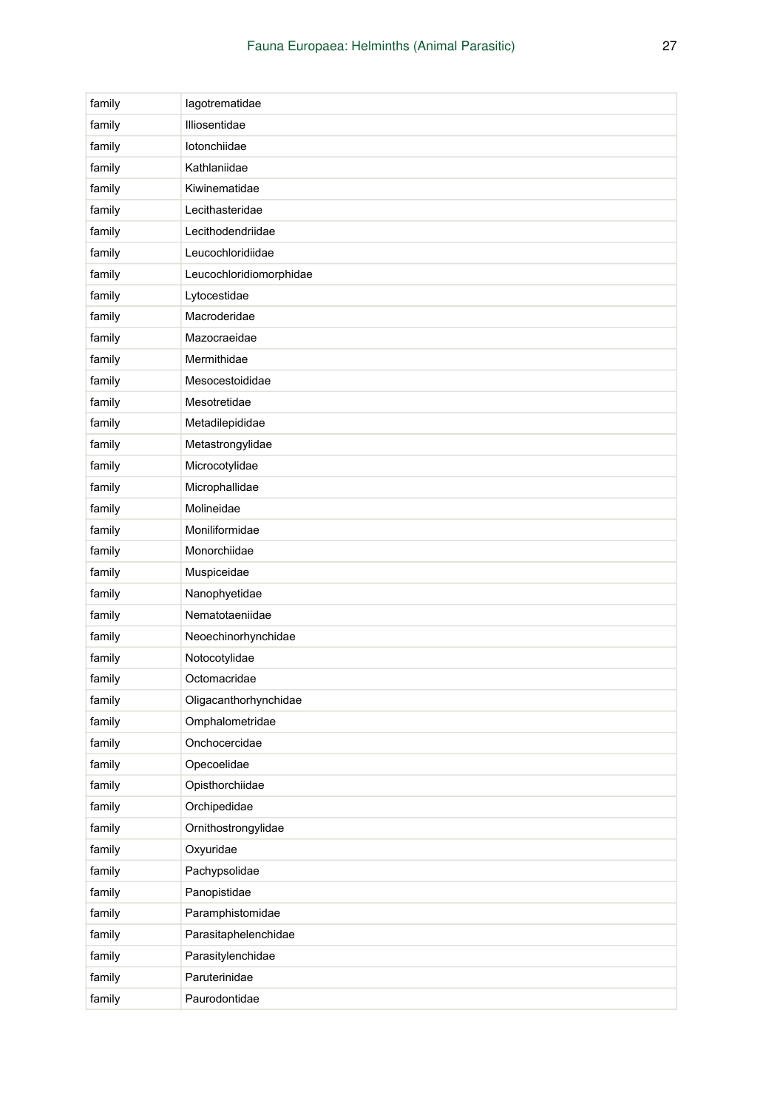| family | lagotrematidae          |
|--------|-------------------------|
| family | Illiosentidae           |
| family | lotonchiidae            |
| family | Kathlaniidae            |
| family | Kiwinematidae           |
| family | Lecithasteridae         |
| family | Lecithodendriidae       |
| family | Leucochloridiidae       |
| family | Leucochloridiomorphidae |
| family | Lytocestidae            |
| family | Macroderidae            |
| family | Mazocraeidae            |
| family | Mermithidae             |
| family | Mesocestoididae         |
| family | Mesotretidae            |
| family | Metadilepididae         |
| family | Metastrongylidae        |
| family | Microcotylidae          |
| family | Microphallidae          |
| family | Molineidae              |
| family | Moniliformidae          |
| family | Monorchiidae            |
| family | Muspiceidae             |
| family | Nanophyetidae           |
| family | Nematotaeniidae         |
| family | Neoechinorhynchidae     |
| family | Notocotylidae           |
| family | Octomacridae            |
| family | Oligacanthorhynchidae   |
| family | Omphalometridae         |
| family | Onchocercidae           |
| family | Opecoelidae             |
| family | Opisthorchiidae         |
| family | Orchipedidae            |
| family | Ornithostrongylidae     |
| family | Oxyuridae               |
| family | Pachypsolidae           |
| family | Panopistidae            |
| family | Paramphistomidae        |
| family | Parasitaphelenchidae    |
| family | Parasitylenchidae       |
| family | Paruterinidae           |
| family | Paurodontidae           |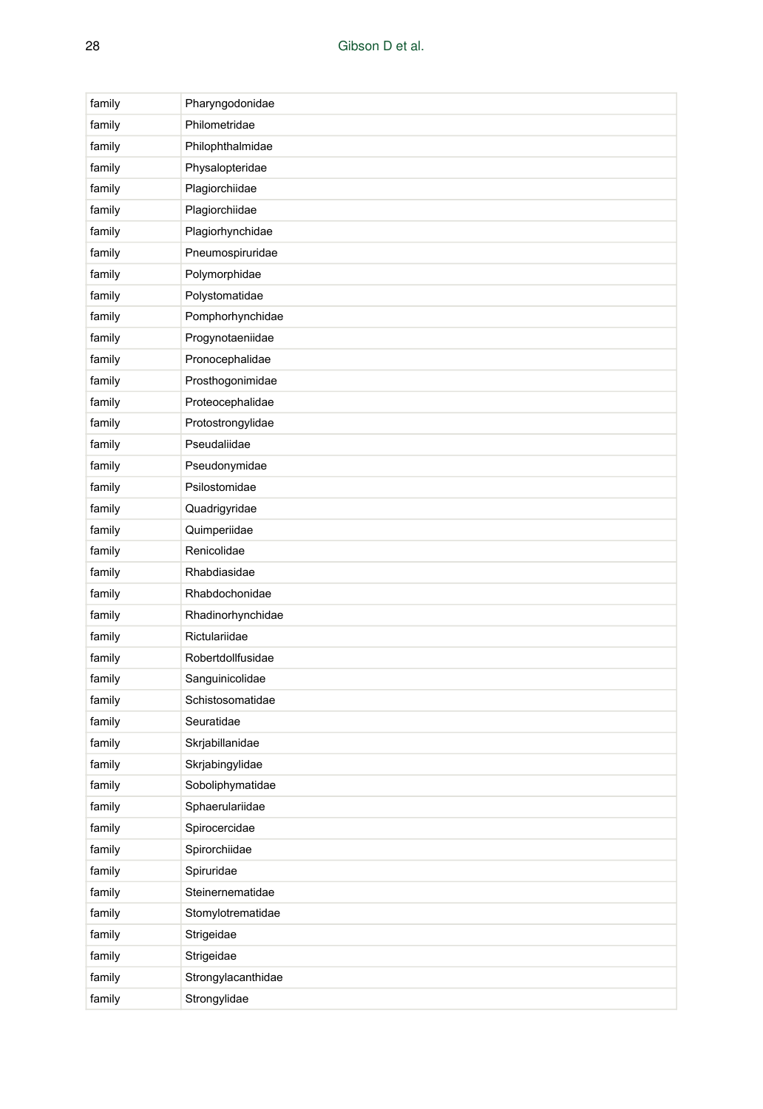| family | Pharyngodonidae    |
|--------|--------------------|
| family | Philometridae      |
| family | Philophthalmidae   |
| family | Physalopteridae    |
| family | Plagiorchiidae     |
| family | Plagiorchiidae     |
| family | Plagiorhynchidae   |
| family | Pneumospiruridae   |
| family | Polymorphidae      |
| family | Polystomatidae     |
| family | Pomphorhynchidae   |
| family | Progynotaeniidae   |
| family | Pronocephalidae    |
| family | Prosthogonimidae   |
| family | Proteocephalidae   |
| family | Protostrongylidae  |
| family | Pseudaliidae       |
| family | Pseudonymidae      |
| family | Psilostomidae      |
| family | Quadrigyridae      |
| family | Quimperiidae       |
| family | Renicolidae        |
| family | Rhabdiasidae       |
| family | Rhabdochonidae     |
| family | Rhadinorhynchidae  |
| family | Rictulariidae      |
| family | Robertdollfusidae  |
| family | Sanguinicolidae    |
| family | Schistosomatidae   |
| family | Seuratidae         |
| family | Skrjabillanidae    |
| family | Skrjabingylidae    |
| family | Soboliphymatidae   |
| family | Sphaerulariidae    |
| family | Spirocercidae      |
| family | Spirorchiidae      |
| family | Spiruridae         |
| family | Steinernematidae   |
| family | Stomylotrematidae  |
| family | Strigeidae         |
| family | Strigeidae         |
| family | Strongylacanthidae |
| family | Strongylidae       |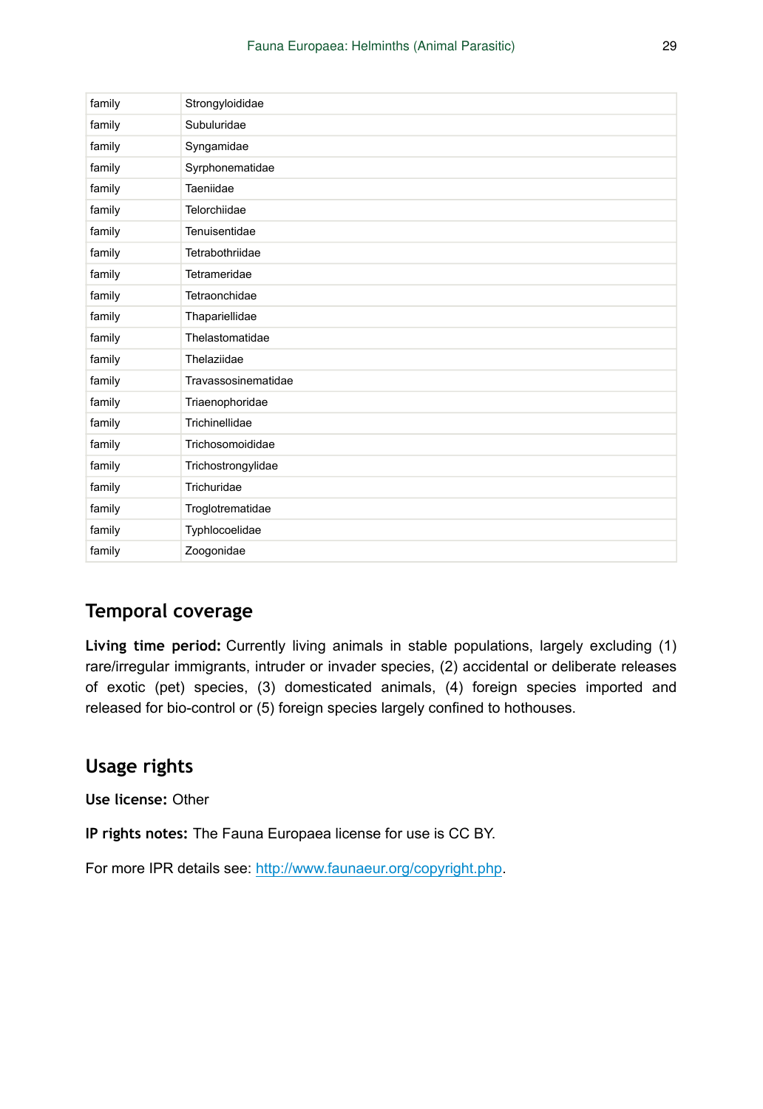| family | Strongyloididae     |
|--------|---------------------|
| family | Subuluridae         |
| family | Syngamidae          |
| family | Syrphonematidae     |
| family | Taeniidae           |
| family | Telorchiidae        |
| family | Tenuisentidae       |
| family | Tetrabothriidae     |
| family | Tetrameridae        |
| family | Tetraonchidae       |
| family | Thapariellidae      |
| family | Thelastomatidae     |
| family | Thelaziidae         |
| family | Travassosinematidae |
| family | Triaenophoridae     |
| family | Trichinellidae      |
| family | Trichosomoididae    |
| family | Trichostrongylidae  |
| family | Trichuridae         |
| family | Troglotrematidae    |
| family | Typhlocoelidae      |
| family | Zoogonidae          |

### **Temporal coverage**

**Living time period:** Currently living animals in stable populations, largely excluding (1) rare/irregular immigrants, intruder or invader species, (2) accidental or deliberate releases of exotic (pet) species, (3) domesticated animals, (4) foreign species imported and released for bio-control or (5) foreign species largely confined to hothouses.

# **Usage rights**

**Use license:** Other

**IP rights notes:** The Fauna Europaea license for use is CC BY.

For more IPR details see: <http://www.faunaeur.org/copyright.php>.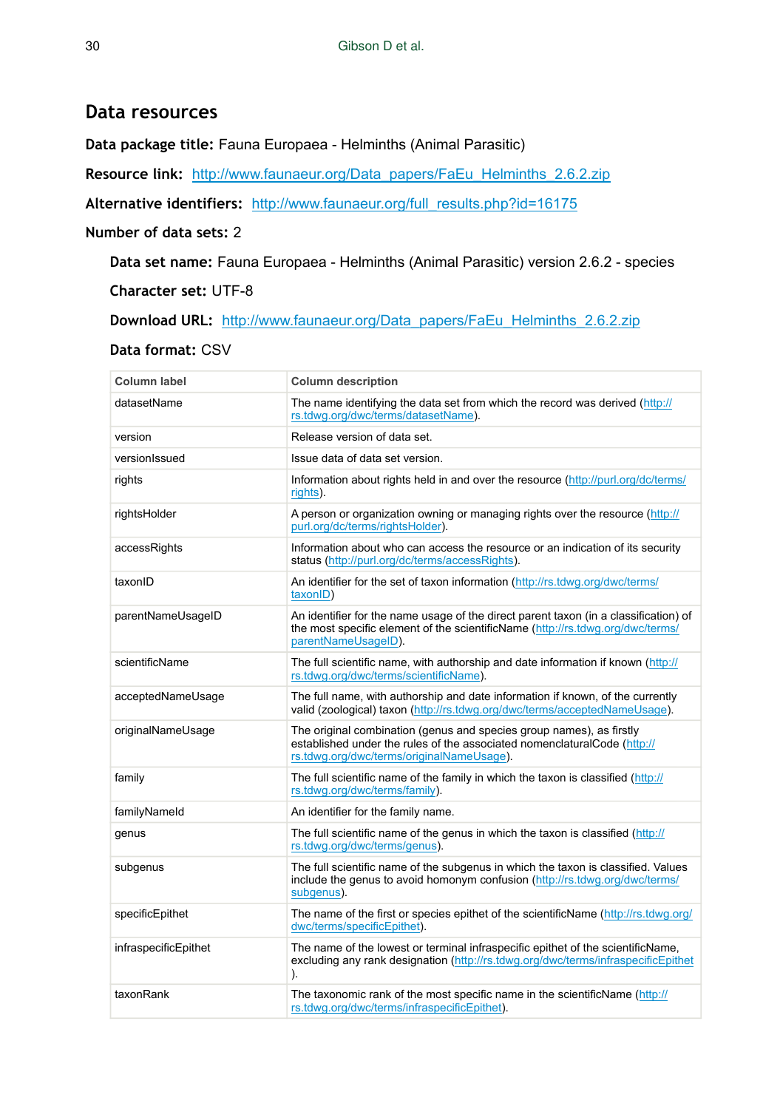#### **Data resources**

**Data package title:** Fauna Europaea - Helminths (Animal Parasitic)

**Resource link:** [http://www.faunaeur.org/Data\\_papers/FaEu\\_Helminths\\_2.6.2.zip](http://www.faunaeur.org/Data_papers/FaEu_Helminths_2.6.2.zip)

**Alternative identifiers:** [http://www.faunaeur.org/full\\_results.php?id=16175](http://www.faunaeur.org/full_results.php?id=16175)

#### **Number of data sets:** 2

**Data set name:** Fauna Europaea - Helminths (Animal Parasitic) version 2.6.2 - species

**Character set:** UTF-8

**Download URL:** [http://www.faunaeur.org/Data\\_papers/FaEu\\_Helminths\\_2.6.2.zip](http://www.faunaeur.org/Data_papers/FaEu_Helminths_2.6.2.zip)

#### **Data format:** CSV

| Column label         | <b>Column description</b>                                                                                                                                                                     |
|----------------------|-----------------------------------------------------------------------------------------------------------------------------------------------------------------------------------------------|
| datasetName          | The name identifying the data set from which the record was derived (http://<br>rs.tdwg.org/dwc/terms/datasetName).                                                                           |
| version              | Release version of data set.                                                                                                                                                                  |
| versionIssued        | Issue data of data set version.                                                                                                                                                               |
| rights               | Information about rights held in and over the resource (http://purl.org/dc/terms/<br>rights).                                                                                                 |
| rightsHolder         | A person or organization owning or managing rights over the resource (http://<br>purl.org/dc/terms/rightsHolder).                                                                             |
| accessRights         | Information about who can access the resource or an indication of its security<br>status (http://purl.org/dc/terms/accessRights).                                                             |
| taxonID              | An identifier for the set of taxon information (http://rs.tdwg.org/dwc/terms/<br>taxonID)                                                                                                     |
| parentNameUsageID    | An identifier for the name usage of the direct parent taxon (in a classification) of<br>the most specific element of the scientificName (http://rs.tdwg.org/dwc/terms/<br>parentNameUsageID). |
| scientificName       | The full scientific name, with authorship and date information if known (http://<br>rs.tdwg.org/dwc/terms/scientificName).                                                                    |
| acceptedNameUsage    | The full name, with authorship and date information if known, of the currently<br>valid (zoological) taxon (http://rs.tdwg.org/dwc/terms/acceptedNameUsage).                                  |
| originalNameUsage    | The original combination (genus and species group names), as firstly<br>established under the rules of the associated nomenclaturalCode (http://<br>rs.tdwg.org/dwc/terms/originalNameUsage). |
| family               | The full scientific name of the family in which the taxon is classified (http://<br>rs.tdwg.org/dwc/terms/family).                                                                            |
| familyNameld         | An identifier for the family name.                                                                                                                                                            |
| genus                | The full scientific name of the genus in which the taxon is classified (http://<br>rs.tdwg.org/dwc/terms/genus).                                                                              |
| subgenus             | The full scientific name of the subgenus in which the taxon is classified. Values<br>include the genus to avoid homonym confusion (http://rs.tdwg.org/dwc/terms/<br>subgenus).                |
| specificEpithet      | The name of the first or species epithet of the scientificName (http://rs.tdwg.org/<br>dwc/terms/specificEpithet).                                                                            |
| infraspecificEpithet | The name of the lowest or terminal infraspecific epithet of the scientificName,<br>excluding any rank designation (http://rs.tdwg.org/dwc/terms/infraspecificEpithet<br>).                    |
| taxonRank            | The taxonomic rank of the most specific name in the scientificName (http://<br>rs.tdwg.org/dwc/terms/infraspecificEpithet).                                                                   |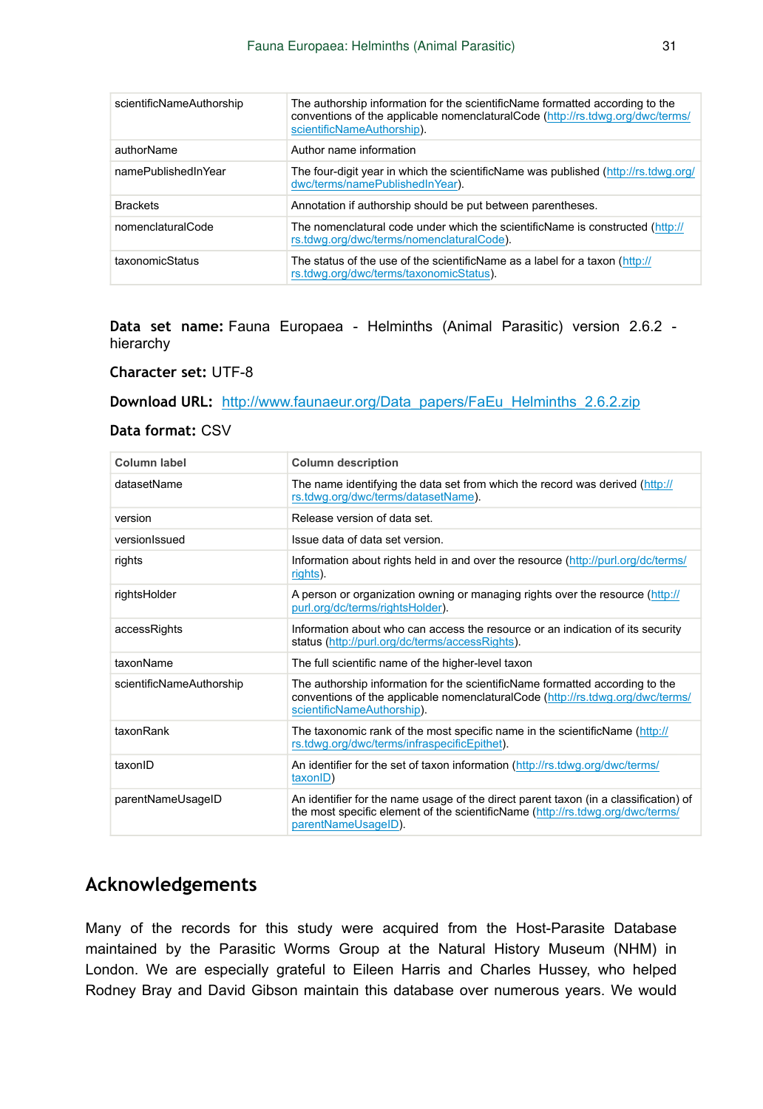| scientificNameAuthorship | The authorship information for the scientificName formatted according to the<br>conventions of the applicable nomenclatural Code (http://rs.tdwg.org/dwc/terms/<br>scientificNameAuthorship). |
|--------------------------|-----------------------------------------------------------------------------------------------------------------------------------------------------------------------------------------------|
| authorName               | Author name information                                                                                                                                                                       |
| namePublishedInYear      | The four-digit year in which the scientificName was published (http://rs.tdwg.org/<br>dwc/terms/namePublishedInYear).                                                                         |
| <b>Brackets</b>          | Annotation if authorship should be put between parentheses.                                                                                                                                   |
| nomenclaturalCode        | The nomenclatural code under which the scientificName is constructed (http://<br>rs.tdwg.org/dwc/terms/nomenclaturalCode).                                                                    |
| taxonomicStatus          | The status of the use of the scientificName as a label for a taxon (http://<br>rs.tdwg.org/dwc/terms/taxonomicStatus).                                                                        |

**Data set name:** Fauna Europaea - Helminths (Animal Parasitic) version 2.6.2 hierarchy

**Character set:** UTF-8

**Download URL:** [http://www.faunaeur.org/Data\\_papers/FaEu\\_Helminths\\_2.6.2.zip](http://www.faunaeur.org/Data_papers/FaEu_Helminths_2.6.2.zip)

#### **Data format:** CSV

| Column label             | <b>Column description</b>                                                                                                                                                                     |
|--------------------------|-----------------------------------------------------------------------------------------------------------------------------------------------------------------------------------------------|
| datasetName              | The name identifying the data set from which the record was derived (http://<br>rs.tdwg.org/dwc/terms/datasetName).                                                                           |
| version                  | Release version of data set.                                                                                                                                                                  |
| versionlssued            | Issue data of data set version.                                                                                                                                                               |
| rights                   | Information about rights held in and over the resource (http://purl.org/dc/terms/<br>rights).                                                                                                 |
| rightsHolder             | A person or organization owning or managing rights over the resource (http://<br>purl.org/dc/terms/rightsHolder).                                                                             |
| accessRights             | Information about who can access the resource or an indication of its security<br>status (http://purl.org/dc/terms/accessRights).                                                             |
| taxonName                | The full scientific name of the higher-level taxon                                                                                                                                            |
| scientificNameAuthorship | The authorship information for the scientificName formatted according to the<br>conventions of the applicable nomenclatural Code (http://rs.tdwg.org/dwc/terms/<br>scientificNameAuthorship). |
| taxonRank                | The taxonomic rank of the most specific name in the scientificName (http://<br>rs.tdwg.org/dwc/terms/infraspecificEpithet).                                                                   |
| taxonID                  | An identifier for the set of taxon information (http://rs.tdwg.org/dwc/terms/<br>taxonID)                                                                                                     |
| parentNameUsageID        | An identifier for the name usage of the direct parent taxon (in a classification) of<br>the most specific element of the scientificName (http://rs.tdwg.org/dwc/terms/<br>parentNameUsageID). |

### **Acknowledgements**

Many of the records for this study were acquired from the Host-Parasite Database maintained by the Parasitic Worms Group at the Natural History Museum (NHM) in London. We are especially grateful to Eileen Harris and Charles Hussey, who helped Rodney Bray and David Gibson maintain this database over numerous years. We would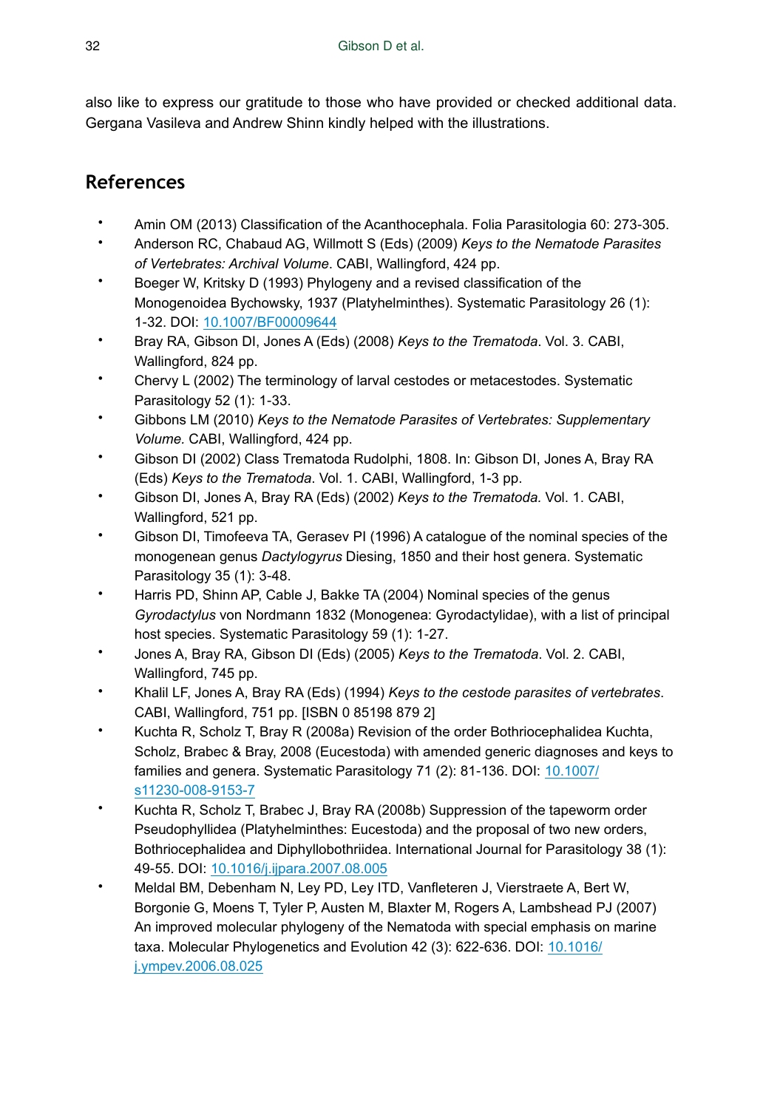also like to express our gratitude to those who have provided or checked additional data. Gergana Vasileva and Andrew Shinn kindly helped with the illustrations.

# **References**

- Amin OM (2013) Classification of the Acanthocephala. Folia Parasitologia 60: 273‑305.
- Anderson RC, Chabaud AG, Willmott S (Eds) (2009) *Keys to the Nematode Parasites of Vertebrates: Archival Volume*. CABI, Wallingford, 424 pp.
- Boeger W, Kritsky D (1993) Phylogeny and a revised classification of the Monogenoidea Bychowsky, 1937 (Platyhelminthes). Systematic Parasitology 26 (1): 1‑32. DOI: [10.1007/BF00009644](http://dx.doi.org/10.1007/BF00009644)
- Bray RA, Gibson DI, Jones A (Eds) (2008) *Keys to the Trematoda*. Vol. 3. CABI, Wallingford, 824 pp.
- Chervy L (2002) The terminology of larval cestodes or metacestodes. Systematic Parasitology 52 (1): 1‑33.
- Gibbons LM (2010) *Keys to the Nematode Parasites of Vertebrates: Supplementary Volume.* CABI, Wallingford, 424 pp.
- Gibson DI (2002) Class Trematoda Rudolphi, 1808. In: Gibson DI, Jones A, Bray RA (Eds) *Keys to the Trematoda*. Vol. 1. CABI, Wallingford, 1-3 pp.
- Gibson DI, Jones A, Bray RA (Eds) (2002) *Keys to the Trematoda.* Vol. 1. CABI, Wallingford, 521 pp.
- Gibson DI, Timofeeva TA, Gerasev PI (1996) A catalogue of the nominal species of the monogenean genus *Dactylogyrus* Diesing, 1850 and their host genera. Systematic Parasitology 35 (1): 3‑48.
- Harris PD, Shinn AP, Cable J, Bakke TA (2004) Nominal species of the genus *Gyrodactylus* von Nordmann 1832 (Monogenea: Gyrodactylidae), with a list of principal host species. Systematic Parasitology 59 (1): 1‑27.
- Jones A, Bray RA, Gibson DI (Eds) (2005) *Keys to the Trematoda*. Vol. 2. CABI, Wallingford, 745 pp.
- Khalil LF, Jones A, Bray RA (Eds) (1994) *Keys to the cestode parasites of vertebrates*. CABI, Wallingford, 751 pp. [ISBN 0 85198 879 2]
- Kuchta R, Scholz T, Bray R (2008a) Revision of the order Bothriocephalidea Kuchta, Scholz, Brabec & Bray, 2008 (Eucestoda) with amended generic diagnoses and keys to families and genera. Systematic Parasitology 71 (2): 81-136. DOI: [10.1007/](http://dx.doi.org/10.1007/s11230-008-9153-7) [s11230-008-9153-7](http://dx.doi.org/10.1007/s11230-008-9153-7)
- Kuchta R, Scholz T, Brabec J, Bray RA (2008b) Suppression of the tapeworm order Pseudophyllidea (Platyhelminthes: Eucestoda) and the proposal of two new orders, Bothriocephalidea and Diphyllobothriidea. International Journal for Parasitology 38 (1): 49‑55. DOI: [10.1016/j.ijpara.2007.08.005](http://dx.doi.org/10.1016/j.ijpara.2007.08.005)
- Meldal BM, Debenham N, Ley PD, Ley ITD, Vanfleteren J, Vierstraete A, Bert W, Borgonie G, Moens T, Tyler P, Austen M, Blaxter M, Rogers A, Lambshead PJ (2007) An improved molecular phylogeny of the Nematoda with special emphasis on marine taxa. Molecular Phylogenetics and Evolution 42 (3): 622‑636. DOI: [10.1016/](http://dx.doi.org/10.1016/j.ympev.2006.08.025) [j.ympev.2006.08.025](http://dx.doi.org/10.1016/j.ympev.2006.08.025)